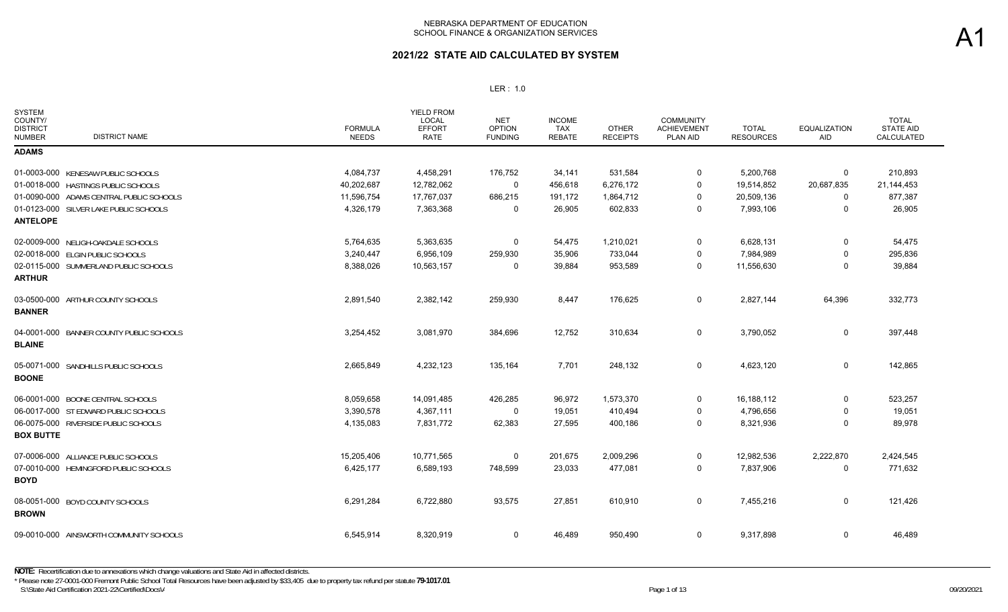| SYSTEM<br>COUNTY/<br><b>DISTRICT</b><br><b>DISTRICT NAME</b><br><b>NUMBER</b> | <b>FORMULA</b><br><b>NEEDS</b> | <b>YIELD FROM</b><br>LOCAL<br><b>EFFORT</b><br><b>RATE</b> | <b>NET</b><br><b>OPTION</b><br><b>FUNDING</b> | <b>INCOME</b><br><b>TAX</b><br><b>REBATE</b> | <b>OTHER</b><br><b>RECEIPTS</b> | <b>COMMUNITY</b><br><b>ACHIEVEMENT</b><br>PLAN AID | <b>TOTAL</b><br><b>RESOURCES</b> | <b>EQUALIZATION</b><br>AID | <b>TOTAL</b><br><b>STATE AID</b><br>CALCULATED |
|-------------------------------------------------------------------------------|--------------------------------|------------------------------------------------------------|-----------------------------------------------|----------------------------------------------|---------------------------------|----------------------------------------------------|----------------------------------|----------------------------|------------------------------------------------|
| <b>ADAMS</b>                                                                  |                                |                                                            |                                               |                                              |                                 |                                                    |                                  |                            |                                                |
| 01-0003-000 KENESAW PUBLIC SCHOOLS                                            | 4,084,737                      | 4,458,291                                                  | 176,752                                       | 34,141                                       | 531,584                         | 0                                                  | 5,200,768                        | 0                          | 210,893                                        |
| 01-0018-000 HASTINGS PUBLIC SCHOOLS                                           | 40,202,687                     | 12,782,062                                                 | 0                                             | 456,618                                      | 6,276,172                       | 0                                                  | 19,514,852                       | 20,687,835                 | 21,144,453                                     |
| 01-0090-000 ADAMS CENTRAL PUBLIC SCHOOLS                                      | 11,596,754                     | 17,767,037                                                 | 686,215                                       | 191,172                                      | 1,864,712                       | 0                                                  | 20,509,136                       | 0                          | 877,387                                        |
| 01-0123-000 SILVER LAKE PUBLIC SCHOOLS<br><b>ANTELOPE</b>                     | 4,326,179                      | 7,363,368                                                  | 0                                             | 26,905                                       | 602,833                         | 0                                                  | 7,993,106                        | 0                          | 26,905                                         |
| 02-0009-000 NELIGH-OAKDALE SCHOOLS                                            | 5,764,635                      | 5,363,635                                                  | 0                                             | 54,475                                       | 1,210,021                       | 0                                                  | 6,628,131                        | 0                          | 54,475                                         |
| 02-0018-000 ELGIN PUBLIC SCHOOLS                                              | 3,240,447                      | 6,956,109                                                  | 259,930                                       | 35,906                                       | 733,044                         | 0                                                  | 7,984,989                        | 0                          | 295,836                                        |
| 02-0115-000 SUMMERLAND PUBLIC SCHOOLS<br><b>ARTHUR</b>                        | 8,388,026                      | 10,563,157                                                 | 0                                             | 39,884                                       | 953,589                         | 0                                                  | 11,556,630                       | 0                          | 39,884                                         |
| 03-0500-000 ARTHUR COUNTY SCHOOLS<br><b>BANNER</b>                            | 2,891,540                      | 2,382,142                                                  | 259,930                                       | 8,447                                        | 176,625                         | 0                                                  | 2,827,144                        | 64,396                     | 332,773                                        |
| 04-0001-000 BANNER COUNTY PUBLIC SCHOOLS<br><b>BLAINE</b>                     | 3,254,452                      | 3,081,970                                                  | 384,696                                       | 12,752                                       | 310,634                         | 0                                                  | 3,790,052                        | 0                          | 397,448                                        |
| 05-0071-000 SANDHILLS PUBLIC SCHOOLS<br><b>BOONE</b>                          | 2,665,849                      | 4,232,123                                                  | 135,164                                       | 7,701                                        | 248,132                         | 0                                                  | 4,623,120                        | $\mathsf{O}$               | 142,865                                        |
| 06-0001-000 BOONE CENTRAL SCHOOLS                                             | 8,059,658                      | 14,091,485                                                 | 426,285                                       | 96,972                                       | 1,573,370                       | 0                                                  | 16,188,112                       | 0                          | 523,257                                        |
| 06-0017-000 ST EDWARD PUBLIC SCHOOLS                                          | 3,390,578                      | 4,367,111                                                  | 0                                             | 19,051                                       | 410,494                         | 0                                                  | 4,796,656                        | 0                          | 19,051                                         |
| 06-0075-000 RIVERSIDE PUBLIC SCHOOLS<br><b>BOX BUTTE</b>                      | 4,135,083                      | 7,831,772                                                  | 62,383                                        | 27,595                                       | 400,186                         | 0                                                  | 8,321,936                        | $\Omega$                   | 89,978                                         |
| 07-0006-000 ALLIANCE PUBLIC SCHOOLS                                           | 15,205,406                     | 10,771,565                                                 | 0                                             | 201,675                                      | 2,009,296                       | 0                                                  | 12,982,536                       | 2,222,870                  | 2,424,545                                      |
| 07-0010-000 HEMINGFORD PUBLIC SCHOOLS<br><b>BOYD</b>                          | 6,425,177                      | 6,589,193                                                  | 748,599                                       | 23,033                                       | 477,081                         | 0                                                  | 7,837,906                        | 0                          | 771,632                                        |
| 08-0051-000 BOYD COUNTY SCHOOLS<br><b>BROWN</b>                               | 6,291,284                      | 6,722,880                                                  | 93,575                                        | 27,851                                       | 610,910                         | 0                                                  | 7,455,216                        | 0                          | 121,426                                        |
| 09-0010-000 AINSWORTH COMMUNITY SCHOOLS                                       | 6,545,914                      | 8,320,919                                                  | 0                                             | 46,489                                       | 950,490                         | 0                                                  | 9,317,898                        | 0                          | 46,489                                         |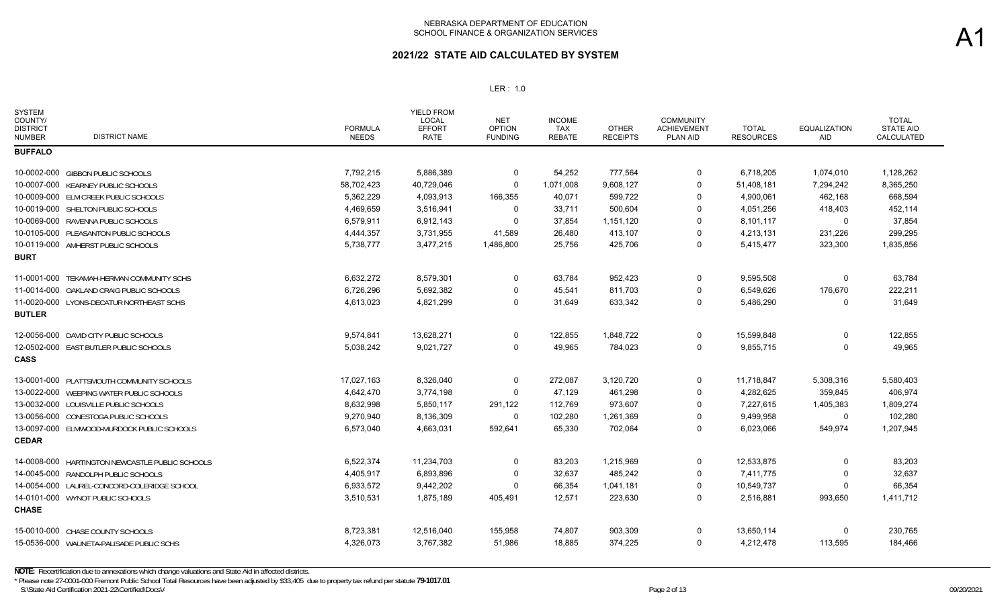### **2021/22 STATE AID CALCULATED BY SYSTEM**

| <b>SYSTEM</b><br>COUNTY/<br><b>DISTRICT</b><br><b>DISTRICT NAME</b><br><b>NUMBER</b> | <b>FORMULA</b><br><b>NEEDS</b> | <b>YIELD FROM</b><br><b>LOCAL</b><br><b>EFFORT</b><br><b>RATE</b> | <b>NET</b><br><b>OPTION</b><br><b>FUNDING</b> | <b>INCOME</b><br><b>TAX</b><br><b>REBATE</b> | <b>OTHER</b><br><b>RECEIPTS</b> | <b>COMMUNITY</b><br><b>ACHIEVEMENT</b><br><b>PLAN AID</b> | <b>TOTAL</b><br><b>RESOURCES</b> | <b>EQUALIZATION</b><br>AID | <b>TOTAL</b><br><b>STATE AID</b><br><b>CALCULATED</b> |
|--------------------------------------------------------------------------------------|--------------------------------|-------------------------------------------------------------------|-----------------------------------------------|----------------------------------------------|---------------------------------|-----------------------------------------------------------|----------------------------------|----------------------------|-------------------------------------------------------|
| <b>BUFFALO</b>                                                                       |                                |                                                                   |                                               |                                              |                                 |                                                           |                                  |                            |                                                       |
| 10-0002-000 GIBBON PUBLIC SCHOOLS                                                    | 7,792,215                      | 5,886,389                                                         | 0                                             | 54,252                                       | 777,564                         | 0                                                         | 6,718,205                        | 1,074,010                  | 1,128,262                                             |
| 10-0007-000 KEARNEY PUBLIC SCHOOLS                                                   | 58,702,423                     | 40,729,046                                                        | 0                                             | 1,071,008                                    | 9,608,127                       | 0                                                         | 51,408,181                       | 7,294,242                  | 8,365,250                                             |
| 10-0009-000 ELM CREEK PUBLIC SCHOOLS                                                 | 5,362,229                      | 4,093,913                                                         | 166,355                                       | 40,071                                       | 599,722                         | $\Omega$                                                  | 4,900,061                        | 462,168                    | 668,594                                               |
| 10-0019-000 SHELTON PUBLIC SCHOOLS                                                   | 4,469,659                      | 3,516,941                                                         | 0                                             | 33,711                                       | 500,604                         | $\Omega$                                                  | 4,051,256                        | 418,403                    | 452,114                                               |
| 10-0069-000 RAVENNA PUBLIC SCHOOLS                                                   | 6,579,911                      | 6,912,143                                                         | $\Omega$                                      | 37,854                                       | 1,151,120                       | $\Omega$                                                  | 8,101,117                        | $\Omega$                   | 37,854                                                |
| 10-0105-000 PLEASANTON PUBLIC SCHOOLS                                                | 4,444,357                      | 3,731,955                                                         | 41,589                                        | 26,480                                       | 413,107                         | $\Omega$                                                  | 4,213,131                        | 231,226                    | 299,295                                               |
| 10-0119-000 AMHERST PUBLIC SCHOOLS                                                   | 5,738,777                      | 3,477,215                                                         | 1,486,800                                     | 25,756                                       | 425,706                         | $\Omega$                                                  | 5,415,477                        | 323,300                    | 1,835,856                                             |
| <b>BURT</b>                                                                          |                                |                                                                   |                                               |                                              |                                 |                                                           |                                  |                            |                                                       |
| 11-0001-000 TEKAMAH-HERMAN COMMUNITY SCHS                                            | 6,632,272                      | 8,579,301                                                         | $\mathbf 0$                                   | 63,784                                       | 952,423                         | $\mathbf 0$                                               | 9,595,508                        | 0                          | 63,784                                                |
| 11-0014-000 OAKLAND CRAIG PUBLIC SCHOOLS                                             | 6,726,296                      | 5,692,382                                                         | 0                                             | 45,541                                       | 811,703                         | $\Omega$                                                  | 6,549,626                        | 176,670                    | 222,211                                               |
| 11-0020-000 LYONS-DECATUR NORTHEAST SCHS                                             | 4,613,023                      | 4,821,299                                                         | 0                                             | 31,649                                       | 633,342                         | $\Omega$                                                  | 5,486,290                        | $\Omega$                   | 31,649                                                |
| <b>BUTLER</b>                                                                        |                                |                                                                   |                                               |                                              |                                 |                                                           |                                  |                            |                                                       |
| 12-0056-000 DAVID CITY PUBLIC SCHOOLS                                                | 9,574,841                      | 13,628,271                                                        | 0                                             | 122,855                                      | 1,848,722                       | 0                                                         | 15,599,848                       | 0                          | 122,855                                               |
| 12-0502-000 EAST BUTLER PUBLIC SCHOOLS                                               | 5,038,242                      | 9,021,727                                                         | 0                                             | 49,965                                       | 784,023                         | $\Omega$                                                  | 9,855,715                        | 0                          | 49,965                                                |
| <b>CASS</b>                                                                          |                                |                                                                   |                                               |                                              |                                 |                                                           |                                  |                            |                                                       |
| 13-0001-000 PLATTSMOUTH COMMUNITY SCHOOLS                                            | 17,027,163                     | 8,326,040                                                         | 0                                             | 272,087                                      | 3,120,720                       | 0                                                         | 11,718,847                       | 5,308,316                  | 5,580,403                                             |
| 13-0022-000 WEEPING WATER PUBLIC SCHOOLS                                             | 4,642,470                      | 3,774,198                                                         | 0                                             | 47,129                                       | 461,298                         | 0                                                         | 4,282,625                        | 359,845                    | 406,974                                               |
| 13-0032-000 LOUISVILLE PUBLIC SCHOOLS                                                | 8,632,998                      | 5,850,117                                                         | 291,122                                       | 112,769                                      | 973,607                         | $\Omega$                                                  | 7,227,615                        | 1,405,383                  | 1,809,274                                             |
| 13-0056-000 CONESTOGA PUBLIC SCHOOLS                                                 | 9,270,940                      | 8,136,309                                                         | 0                                             | 102,280                                      | 1,261,369                       | $\Omega$                                                  | 9,499,958                        | $\Omega$                   | 102,280                                               |
| 13-0097-000 ELMWOOD-MURDOCK PUBLIC SCHOOLS                                           | 6,573,040                      | 4,663,031                                                         | 592,641                                       | 65,330                                       | 702,064                         | $\Omega$                                                  | 6,023,066                        | 549,974                    | 1,207,945                                             |
| <b>CEDAR</b>                                                                         |                                |                                                                   |                                               |                                              |                                 |                                                           |                                  |                            |                                                       |
| HARTINGTON NEWCASTLE PUBLIC SCHOOLS<br>14-0008-000                                   | 6,522,374                      | 11,234,703                                                        | 0                                             | 83,203                                       | 1,215,969                       | 0                                                         | 12,533,875                       | 0                          | 83,203                                                |
| 14-0045-000 RANDOLPH PUBLIC SCHOOLS                                                  | 4,405,917                      | 6,893,896                                                         | 0                                             | 32,637                                       | 485,242                         | $\Omega$                                                  | 7,411,775                        | 0                          | 32,637                                                |
| 14-0054-000 LAUREL-CONCORD-COLERIDGE SCHOOL                                          | 6,933,572                      | 9,442,202                                                         | 0                                             | 66,354                                       | 1,041,181                       | 0                                                         | 10,549,737                       | 0                          | 66,354                                                |
| 14-0101-000 WYNOT PUBLIC SCHOOLS                                                     | 3,510,531                      | 1,875,189                                                         | 405,491                                       | 12,571                                       | 223,630                         | 0                                                         | 2,516,881                        | 993,650                    | 1,411,712                                             |
| <b>CHASE</b>                                                                         |                                |                                                                   |                                               |                                              |                                 |                                                           |                                  |                            |                                                       |
| 15-0010-000 CHASE COUNTY SCHOOLS                                                     | 8,723,381                      | 12,516,040                                                        | 155,958                                       | 74,807                                       | 903,309                         | $\Omega$                                                  | 13,650,114                       | 0                          | 230,765                                               |
| 15-0536-000 WAUNETA-PALISADE PUBLIC SCHS                                             | 4,326,073                      | 3,767,382                                                         | 51,986                                        | 18,885                                       | 374,225                         | $\Omega$                                                  | 4,212,478                        | 113,595                    | 184,466                                               |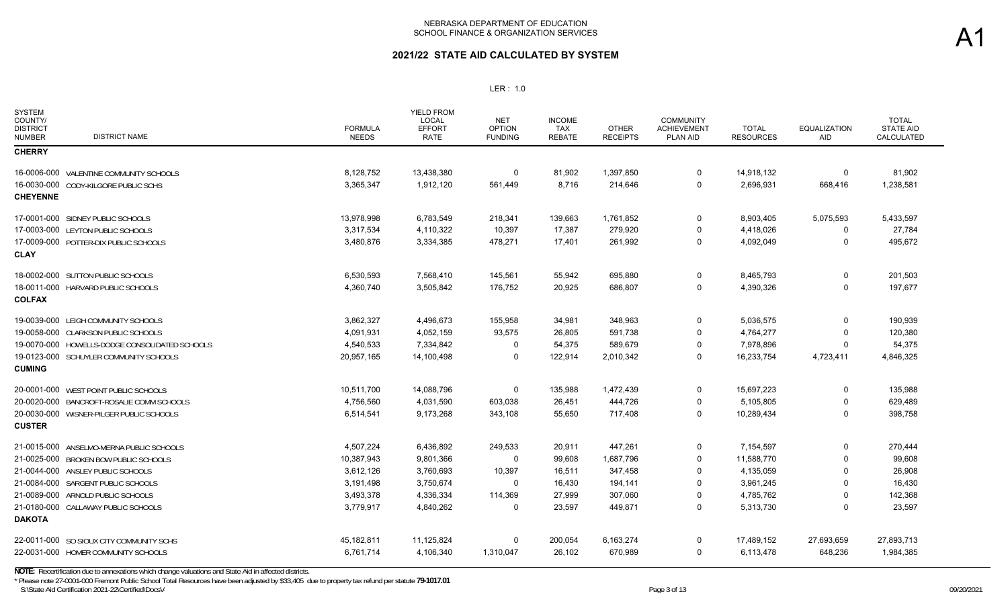## **2021/22 STATE AID CALCULATED BY SYSTEM**

### LER : 1.0

| <b>SYSTEM</b><br>COUNTY/<br><b>DISTRICT</b><br><b>DISTRICT NAME</b><br><b>NUMBER</b> | <b>FORMULA</b><br><b>NEEDS</b> | <b>YIELD FROM</b><br><b>LOCAL</b><br><b>EFFORT</b><br><b>RATE</b> | <b>NET</b><br><b>OPTION</b><br><b>FUNDING</b> | <b>INCOME</b><br>TAX<br><b>REBATE</b> | <b>OTHER</b><br><b>RECEIPTS</b> | <b>COMMUNITY</b><br><b>ACHIEVEMENT</b><br><b>PLAN AID</b> | <b>TOTAL</b><br><b>RESOURCES</b> | <b>EQUALIZATION</b><br><b>AID</b> | <b>TOTAL</b><br><b>STATE AID</b><br>CALCULATED |
|--------------------------------------------------------------------------------------|--------------------------------|-------------------------------------------------------------------|-----------------------------------------------|---------------------------------------|---------------------------------|-----------------------------------------------------------|----------------------------------|-----------------------------------|------------------------------------------------|
| <b>CHERRY</b>                                                                        |                                |                                                                   |                                               |                                       |                                 |                                                           |                                  |                                   |                                                |
| 16-0006-000 VALENTINE COMMUNITY SCHOOLS                                              | 8,128,752                      | 13,438,380                                                        | $\Omega$                                      | 81,902                                | 1,397,850                       | $\mathbf 0$                                               | 14,918,132                       | 0                                 | 81,902                                         |
| 16-0030-000 CODY-KILGORE PUBLIC SCHS                                                 | 3,365,347                      | 1,912,120                                                         | 561,449                                       | 8,716                                 | 214,646                         | 0                                                         | 2,696,931                        | 668,416                           | 1,238,581                                      |
| <b>CHEYENNE</b>                                                                      |                                |                                                                   |                                               |                                       |                                 |                                                           |                                  |                                   |                                                |
| 17-0001-000 SIDNEY PUBLIC SCHOOLS                                                    | 13,978,998                     | 6,783,549                                                         | 218,341                                       | 139,663                               | 1,761,852                       | 0                                                         | 8,903,405                        | 5,075,593                         | 5,433,597                                      |
| 17-0003-000 LEYTON PUBLIC SCHOOLS                                                    | 3,317,534                      | 4,110,322                                                         | 10,397                                        | 17,387                                | 279,920                         | $\overline{0}$                                            | 4,418,026                        | 0                                 | 27,784                                         |
| 17-0009-000 POTTER-DIX PUBLIC SCHOOLS                                                | 3,480,876                      | 3,334,385                                                         | 478,271                                       | 17,401                                | 261,992                         | $\mathbf 0$                                               | 4,092,049                        | $\Omega$                          | 495,672                                        |
| <b>CLAY</b>                                                                          |                                |                                                                   |                                               |                                       |                                 |                                                           |                                  |                                   |                                                |
| 18-0002-000 SUTTON PUBLIC SCHOOLS                                                    | 6,530,593                      | 7,568,410                                                         | 145,561                                       | 55,942                                | 695,880                         | $\mathbf 0$                                               | 8,465,793                        | $\mathbf 0$                       | 201,503                                        |
| 18-0011-000 HARVARD PUBLIC SCHOOLS                                                   | 4,360,740                      | 3,505,842                                                         | 176,752                                       | 20,925                                | 686,807                         | $\mathbf 0$                                               | 4,390,326                        | 0                                 | 197,677                                        |
| <b>COLFAX</b>                                                                        |                                |                                                                   |                                               |                                       |                                 |                                                           |                                  |                                   |                                                |
| 19-0039-000 LEIGH COMMUNITY SCHOOLS                                                  | 3,862,327                      | 4,496,673                                                         | 155,958                                       | 34,981                                | 348,963                         | $\mathbf 0$                                               | 5,036,575                        | 0                                 | 190,939                                        |
| 19-0058-000 CLARKSON PUBLIC SCHOOLS                                                  | 4,091,931                      | 4,052,159                                                         | 93,575                                        | 26,805                                | 591,738                         | $\Omega$                                                  | 4,764,277                        | $\mathbf{0}$                      | 120,380                                        |
| 19-0070-000 HOWELLS-DODGE CONSOLIDATED SCHOOLS                                       | 4,540,533                      | 7,334,842                                                         | $\Omega$                                      | 54,375                                | 589,679                         | $\mathbf 0$                                               | 7,978,896                        | $\Omega$                          | 54,375                                         |
| 19-0123-000 SCHUYLER COMMUNITY SCHOOLS                                               | 20,957,165                     | 14,100,498                                                        | 0                                             | 122,914                               | 2,010,342                       | $\mathbf 0$                                               | 16,233,754                       | 4,723,411                         | 4,846,325                                      |
| <b>CUMING</b>                                                                        |                                |                                                                   |                                               |                                       |                                 |                                                           |                                  |                                   |                                                |
| 20-0001-000 WEST POINT PUBLIC SCHOOLS                                                | 10,511,700                     | 14,088,796                                                        | $\mathbf 0$                                   | 135,988                               | 1,472,439                       | $\mathbf 0$                                               | 15,697,223                       | 0                                 | 135,988                                        |
| 20-0020-000 BANCROFT-ROSALIE COMM SCHOOLS                                            | 4,756,560                      | 4,031,590                                                         | 603,038                                       | 26,451                                | 444,726                         | $\mathbf 0$                                               | 5,105,805                        | 0                                 | 629,489                                        |
| 20-0030-000 WISNER-PILGER PUBLIC SCHOOLS                                             | 6,514,541                      | 9,173,268                                                         | 343,108                                       | 55,650                                | 717,408                         | $\mathbf 0$                                               | 10,289,434                       | $\mathbf 0$                       | 398,758                                        |
| <b>CUSTER</b>                                                                        |                                |                                                                   |                                               |                                       |                                 |                                                           |                                  |                                   |                                                |
| 21-0015-000 ANSELMO-MERNA PUBLIC SCHOOLS                                             | 4.507.224                      | 6,436,892                                                         | 249,533                                       | 20,911                                | 447,261                         | $\mathbf 0$                                               | 7,154,597                        | $\Omega$                          | 270,444                                        |
| 21-0025-000 BROKEN BOW PUBLIC SCHOOLS                                                | 10,387,943                     | 9,801,366                                                         | 0                                             | 99,608                                | 1,687,796                       | $\overline{0}$                                            | 11,588,770                       | $\Omega$                          | 99,608                                         |
| 21-0044-000 ANSLEY PUBLIC SCHOOLS                                                    | 3,612,126                      | 3,760,693                                                         | 10,397                                        | 16,511                                | 347,458                         | $\Omega$                                                  | 4,135,059                        | $\Omega$                          | 26,908                                         |
| 21-0084-000 SARGENT PUBLIC SCHOOLS                                                   | 3,191,498                      | 3,750,674                                                         | $\Omega$                                      | 16,430                                | 194,141                         | $\Omega$                                                  | 3,961,245                        | $\Omega$                          | 16,430                                         |
| 21-0089-000 ARNOLD PUBLIC SCHOOLS                                                    | 3,493,378                      | 4,336,334                                                         | 114,369                                       | 27,999                                | 307,060                         | $\Omega$                                                  | 4,785,762                        | $\Omega$                          | 142,368                                        |
| 21-0180-000 CALLAWAY PUBLIC SCHOOLS                                                  | 3,779,917                      | 4,840,262                                                         | $\Omega$                                      | 23,597                                | 449,871                         | $\mathbf 0$                                               | 5,313,730                        | $\Omega$                          | 23,597                                         |
| <b>DAKOTA</b>                                                                        |                                |                                                                   |                                               |                                       |                                 |                                                           |                                  |                                   |                                                |
| 22-0011-000 SO SIOUX CITY COMMUNITY SCHS                                             | 45,182,811                     | 11,125,824                                                        | 0                                             | 200,054                               | 6,163,274                       | $\overline{0}$                                            | 17,489,152                       | 27,693,659                        | 27,893,713                                     |
| 22-0031-000 HOMER COMMUNITY SCHOOLS                                                  | 6,761,714                      | 4,106,340                                                         | 1,310,047                                     | 26,102                                | 670,989                         | $\mathbf 0$                                               | 6,113,478                        | 648,236                           | 1,984,385                                      |

**NOTE:** Recertification due to annexations which change valuations and State Aid in affected districts.

S:\State Aid Certification 2021-22\Certified\Docs\A  $P$ age 3 of 13 09/20/2021 \* Please note 27-0001-000 Fremont Public School Total Resources have been adjusted by \$33,405 due to property tax refund per statute **79-1017.01**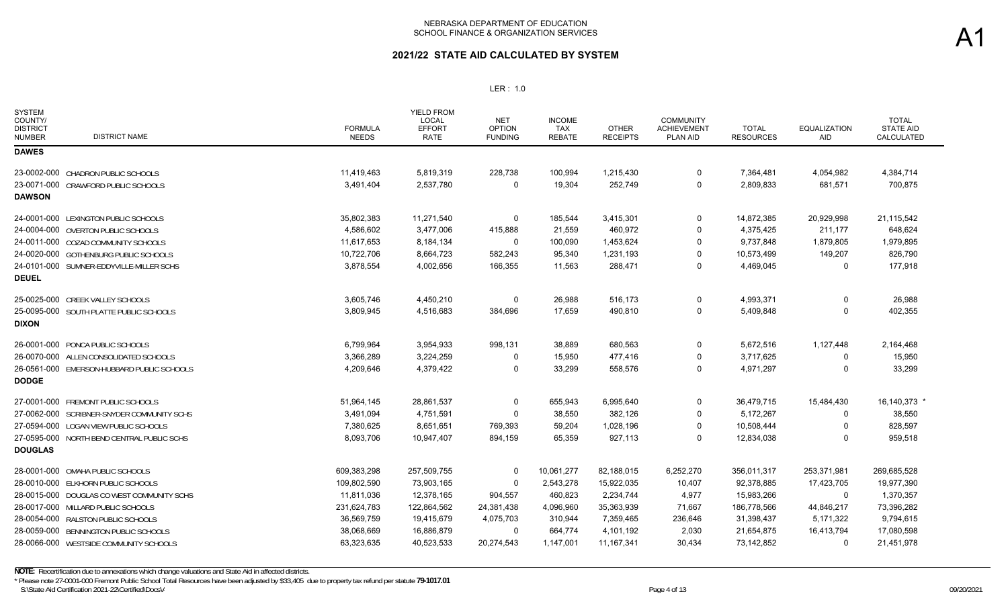## **2021/22 STATE AID CALCULATED BY SYSTEM**

| <b>SYSTEM</b><br>COUNTY/<br><b>DISTRICT</b><br><b>DISTRICT NAME</b><br><b>NUMBER</b> | <b>FORMULA</b><br><b>NEEDS</b> | <b>YIELD FROM</b><br><b>LOCAL</b><br><b>EFFORT</b><br><b>RATE</b> | <b>NET</b><br><b>OPTION</b><br><b>FUNDING</b> | <b>INCOME</b><br><b>TAX</b><br><b>REBATE</b> | <b>OTHER</b><br><b>RECEIPTS</b> | <b>COMMUNITY</b><br><b>ACHIEVEMENT</b><br><b>PLAN AID</b> | <b>TOTAL</b><br><b>RESOURCES</b> | <b>EQUALIZATION</b><br>AID | <b>TOTAL</b><br><b>STATE AID</b><br>CALCULATED |
|--------------------------------------------------------------------------------------|--------------------------------|-------------------------------------------------------------------|-----------------------------------------------|----------------------------------------------|---------------------------------|-----------------------------------------------------------|----------------------------------|----------------------------|------------------------------------------------|
| <b>DAWES</b>                                                                         |                                |                                                                   |                                               |                                              |                                 |                                                           |                                  |                            |                                                |
| 23-0002-000 CHADRON PUBLIC SCHOOLS                                                   | 11,419,463                     | 5,819,319                                                         | 228,738                                       | 100,994                                      | 1,215,430                       | 0                                                         | 7,364,481                        | 4,054,982                  | 4,384,714                                      |
| 23-0071-000 CRAWFORD PUBLIC SCHOOLS                                                  | 3,491,404                      | 2,537,780                                                         | 0                                             | 19,304                                       | 252,749                         | $\Omega$                                                  | 2,809,833                        | 681,571                    | 700,875                                        |
| <b>DAWSON</b>                                                                        |                                |                                                                   |                                               |                                              |                                 |                                                           |                                  |                            |                                                |
| 24-0001-000 LEXINGTON PUBLIC SCHOOLS                                                 | 35,802,383                     | 11,271,540                                                        | 0                                             | 185,544                                      | 3,415,301                       | $\Omega$                                                  | 14,872,385                       | 20,929,998                 | 21,115,542                                     |
| 24-0004-000 OVERTON PUBLIC SCHOOLS                                                   | 4,586,602                      | 3,477,006                                                         | 415,888                                       | 21,559                                       | 460,972                         | 0                                                         | 4,375,425                        | 211,177                    | 648,624                                        |
| 24-0011-000 COZAD COMMUNITY SCHOOLS                                                  | 11,617,653                     | 8,184,134                                                         | $\Omega$                                      | 100,090                                      | 1,453,624                       | $\Omega$                                                  | 9,737,848                        | 1,879,805                  | 1,979,895                                      |
| 24-0020-000 GOTHENBURG PUBLIC SCHOOLS                                                | 10,722,706                     | 8,664,723                                                         | 582,243                                       | 95,340                                       | 1,231,193                       | 0                                                         | 10,573,499                       | 149,207                    | 826,790                                        |
| 24-0101-000 SUMNER-EDDYVILLE-MILLER SCHS                                             | 3,878,554                      | 4,002,656                                                         | 166,355                                       | 11,563                                       | 288,471                         | 0                                                         | 4,469,045                        | 0                          | 177,918                                        |
| <b>DEUEL</b>                                                                         |                                |                                                                   |                                               |                                              |                                 |                                                           |                                  |                            |                                                |
| 25-0025-000 CREEK VALLEY SCHOOLS                                                     | 3,605,746                      | 4,450,210                                                         | $\Omega$                                      | 26,988                                       | 516,173                         | $\Omega$                                                  | 4,993,371                        | $\Omega$                   | 26,988                                         |
| 25-0095-000 SOUTH PLATTE PUBLIC SCHOOLS                                              | 3,809,945                      | 4,516,683                                                         | 384,696                                       | 17,659                                       | 490,810                         | $\Omega$                                                  | 5,409,848                        | $\Omega$                   | 402,355                                        |
| <b>DIXON</b>                                                                         |                                |                                                                   |                                               |                                              |                                 |                                                           |                                  |                            |                                                |
| 26-0001-000 PONCA PUBLIC SCHOOLS                                                     | 6,799,964                      | 3,954,933                                                         | 998,131                                       | 38,889                                       | 680,563                         | 0                                                         | 5,672,516                        | 1,127,448                  | 2,164,468                                      |
| 26-0070-000 ALLEN CONSOLIDATED SCHOOLS                                               | 3,366,289                      | 3,224,259                                                         | 0                                             | 15,950                                       | 477,416                         | 0                                                         | 3,717,625                        | 0                          | 15,950                                         |
| 26-0561-000 EMERSON-HUBBARD PUBLIC SCHOOLS                                           | 4,209,646                      | 4,379,422                                                         | 0                                             | 33,299                                       | 558,576                         | $\Omega$                                                  | 4,971,297                        | $\Omega$                   | 33,299                                         |
| <b>DODGE</b>                                                                         |                                |                                                                   |                                               |                                              |                                 |                                                           |                                  |                            |                                                |
| 27-0001-000 FREMONT PUBLIC SCHOOLS                                                   | 51,964,145                     | 28,861,537                                                        | 0                                             | 655,943                                      | 6,995,640                       | $\Omega$                                                  | 36,479,715                       | 15,484,430                 | 16,140,373 *                                   |
| 27-0062-000 SCRIBNER-SNYDER COMMUNITY SCHS                                           | 3,491,094                      | 4,751,591                                                         | 0                                             | 38,550                                       | 382,126                         | 0                                                         | 5,172,267                        | 0                          | 38,550                                         |
| 27-0594-000 LOGAN VIEW PUBLIC SCHOOLS                                                | 7,380,625                      | 8,651,651                                                         | 769,393                                       | 59,204                                       | 1,028,196                       | $\Omega$                                                  | 10,508,444                       | $\Omega$                   | 828,597                                        |
| 27-0595-000 NORTH BEND CENTRAL PUBLIC SCHS                                           | 8,093,706                      | 10,947,407                                                        | 894,159                                       | 65,359                                       | 927,113                         | $\Omega$                                                  | 12,834,038                       | $\Omega$                   | 959,518                                        |
| <b>DOUGLAS</b>                                                                       |                                |                                                                   |                                               |                                              |                                 |                                                           |                                  |                            |                                                |
| 28-0001-000 OMAHA PUBLIC SCHOOLS                                                     | 609,383,298                    | 257,509,755                                                       | $\Omega$                                      | 10,061,277                                   | 82,188,015                      | 6,252,270                                                 | 356,011,317                      | 253,371,981                | 269,685,528                                    |
| 28-0010-000 ELKHORN PUBLIC SCHOOLS                                                   | 109,802,590                    | 73,903,165                                                        | $\Omega$                                      | 2,543,278                                    | 15,922,035                      | 10,407                                                    | 92,378,885                       | 17,423,705                 | 19,977,390                                     |
| 28-0015-000 DOUGLAS CO WEST COMMUNITY SCHS                                           | 11,811,036                     | 12,378,165                                                        | 904,557                                       | 460,823                                      | 2,234,744                       | 4,977                                                     | 15,983,266                       | 0                          | 1,370,357                                      |
| 28-0017-000 MILLARD PUBLIC SCHOOLS                                                   | 231,624,783                    | 122,864,562                                                       | 24,381,438                                    | 4,096,960                                    | 35,363,939                      | 71,667                                                    | 186,778,566                      | 44,846,217                 | 73,396,282                                     |
| 28-0054-000 RALSTON PUBLIC SCHOOLS                                                   | 36,569,759                     | 19,415,679                                                        | 4,075,703                                     | 310,944                                      | 7,359,465                       | 236,646                                                   | 31,398,437                       | 5,171,322                  | 9,794,615                                      |
| 28-0059-000 BENNINGTON PUBLIC SCHOOLS                                                | 38,068,669                     | 16,886,879                                                        | $\Omega$                                      | 664,774                                      | 4,101,192                       | 2,030                                                     | 21,654,875                       | 16,413,794                 | 17,080,598                                     |
| 28-0066-000 WESTSIDE COMMUNITY SCHOOLS                                               | 63,323,635                     | 40,523,533                                                        | 20,274,543                                    | 1,147,001                                    | 11, 167, 341                    | 30,434                                                    | 73,142,852                       | 0                          | 21,451,978                                     |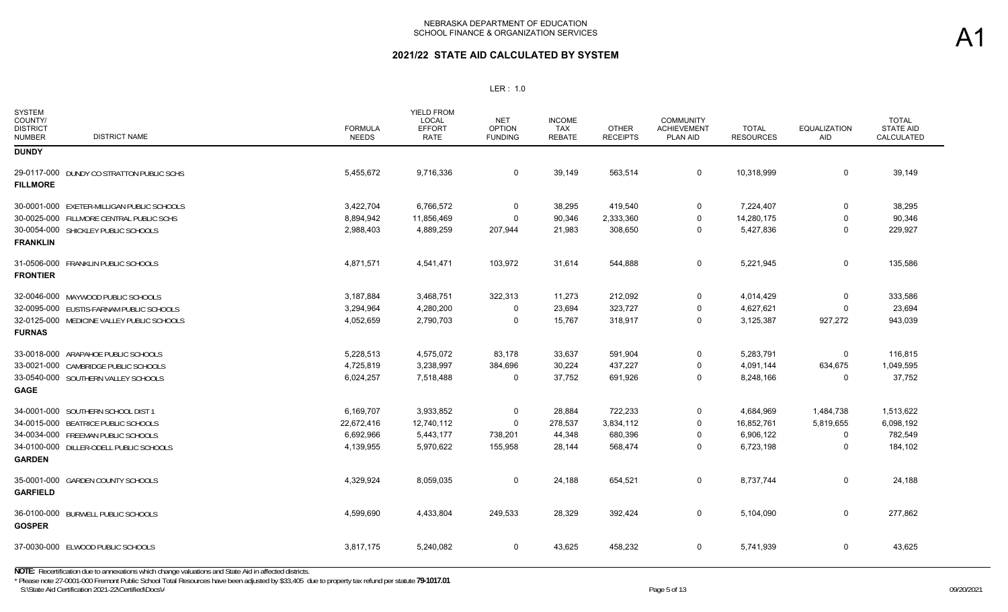| <b>SYSTEM</b><br>COUNTY/<br><b>DISTRICT</b><br><b>DISTRICT NAME</b><br><b>NUMBER</b> | <b>FORMULA</b><br><b>NEEDS</b> | <b>YIELD FROM</b><br>LOCAL<br><b>EFFORT</b><br><b>RATE</b> | NET<br><b>OPTION</b><br><b>FUNDING</b> | <b>INCOME</b><br>TAX<br><b>REBATE</b> | <b>OTHER</b><br><b>RECEIPTS</b> | <b>COMMUNITY</b><br><b>ACHIEVEMENT</b><br>PLAN AID | <b>TOTAL</b><br><b>RESOURCES</b> | <b>EQUALIZATION</b><br><b>AID</b> | <b>TOTAL</b><br><b>STATE AID</b><br>CALCULATED |
|--------------------------------------------------------------------------------------|--------------------------------|------------------------------------------------------------|----------------------------------------|---------------------------------------|---------------------------------|----------------------------------------------------|----------------------------------|-----------------------------------|------------------------------------------------|
| <b>DUNDY</b>                                                                         |                                |                                                            |                                        |                                       |                                 |                                                    |                                  |                                   |                                                |
| 29-0117-000 DUNDY CO STRATTON PUBLIC SCHS<br><b>FILLMORE</b>                         | 5,455,672                      | 9,716,336                                                  | 0                                      | 39,149                                | 563,514                         | $\mathbf 0$                                        | 10,318,999                       | $\mathbf 0$                       | 39,149                                         |
| 30-0001-000 EXETER-MILLIGAN PUBLIC SCHOOLS                                           | 3,422,704                      | 6,766,572                                                  | 0                                      | 38,295                                | 419,540                         | 0                                                  | 7,224,407                        | $\mathbf 0$                       | 38,295                                         |
| 30-0025-000 FILLMORE CENTRAL PUBLIC SCHS                                             | 8,894,942                      | 11,856,469                                                 | $\mathbf 0$                            | 90,346                                | 2,333,360                       | $\mathbf 0$                                        | 14,280,175                       | $\mathbf 0$                       | 90,346                                         |
| 30-0054-000 SHICKLEY PUBLIC SCHOOLS<br><b>FRANKLIN</b>                               | 2,988,403                      | 4,889,259                                                  | 207,944                                | 21,983                                | 308,650                         | 0                                                  | 5,427,836                        | $\mathbf 0$                       | 229,927                                        |
| 31-0506-000 FRANKLIN PUBLIC SCHOOLS<br><b>FRONTIER</b>                               | 4,871,571                      | 4,541,471                                                  | 103,972                                | 31,614                                | 544,888                         | 0                                                  | 5,221,945                        | $\mathbf 0$                       | 135,586                                        |
| 32-0046-000 MAYWOOD PUBLIC SCHOOLS                                                   | 3,187,884                      | 3,468,751                                                  | 322,313                                | 11,273                                | 212,092                         | 0                                                  | 4,014,429                        | 0                                 | 333,586                                        |
| 32-0095-000 EUSTIS-FARNAM PUBLIC SCHOOLS                                             | 3,294,964                      | 4,280,200                                                  | 0                                      | 23,694                                | 323,727                         | 0                                                  | 4,627,621                        | $\Omega$                          | 23,694                                         |
| 32-0125-000 MEDICINE VALLEY PUBLIC SCHOOLS                                           | 4,052,659                      | 2,790,703                                                  | $\Omega$                               | 15,767                                | 318,917                         | $\Omega$                                           | 3,125,387                        | 927,272                           | 943,039                                        |
| <b>FURNAS</b>                                                                        |                                |                                                            |                                        |                                       |                                 |                                                    |                                  |                                   |                                                |
| 33-0018-000 ARAPAHOE PUBLIC SCHOOLS                                                  | 5,228,513                      | 4,575,072                                                  | 83,178                                 | 33,637                                | 591,904                         | 0                                                  | 5,283,791                        | 0                                 | 116,815                                        |
| 33-0021-000 CAMBRIDGE PUBLIC SCHOOLS                                                 | 4,725,819                      | 3,238,997                                                  | 384,696                                | 30,224                                | 437,227                         | 0                                                  | 4,091,144                        | 634,675                           | 1,049,595                                      |
| 33-0540-000 SOUTHERN VALLEY SCHOOLS                                                  | 6,024,257                      | 7,518,488                                                  | 0                                      | 37,752                                | 691,926                         | $\mathbf 0$                                        | 8,248,166                        | 0                                 | 37,752                                         |
| <b>GAGE</b>                                                                          |                                |                                                            |                                        |                                       |                                 |                                                    |                                  |                                   |                                                |
| 34-0001-000 SOUTHERN SCHOOL DIST 1                                                   | 6,169,707                      | 3,933,852                                                  | 0                                      | 28,884                                | 722,233                         | 0                                                  | 4,684,969                        | 1,484,738                         | 1,513,622                                      |
| 34-0015-000 BEATRICE PUBLIC SCHOOLS                                                  | 22,672,416                     | 12,740,112                                                 | $\mathbf 0$                            | 278,537                               | 3,834,112                       | 0                                                  | 16,852,761                       | 5,819,655                         | 6,098,192                                      |
| 34-0034-000 FREEMAN PUBLIC SCHOOLS                                                   | 6,692,966                      | 5,443,177                                                  | 738,201                                | 44,348                                | 680,396                         | 0                                                  | 6,906,122                        | 0                                 | 782,549                                        |
| 34-0100-000 DILLER-ODELL PUBLIC SCHOOLS                                              | 4,139,955                      | 5,970,622                                                  | 155,958                                | 28,144                                | 568,474                         | 0                                                  | 6,723,198                        | 0                                 | 184,102                                        |
| <b>GARDEN</b>                                                                        |                                |                                                            |                                        |                                       |                                 |                                                    |                                  |                                   |                                                |
| 35-0001-000 GARDEN COUNTY SCHOOLS                                                    | 4,329,924                      | 8,059,035                                                  | 0                                      | 24,188                                | 654,521                         | 0                                                  | 8,737,744                        | $\mathbf 0$                       | 24,188                                         |
| <b>GARFIELD</b>                                                                      |                                |                                                            |                                        |                                       |                                 |                                                    |                                  |                                   |                                                |
| 36-0100-000 BURWELL PUBLIC SCHOOLS<br><b>GOSPER</b>                                  | 4,599,690                      | 4,433,804                                                  | 249,533                                | 28,329                                | 392,424                         | $\mathbf 0$                                        | 5,104,090                        | $\mathbf 0$                       | 277,862                                        |
| 37-0030-000 ELWOOD PUBLIC SCHOOLS                                                    | 3,817,175                      | 5,240,082                                                  | 0                                      | 43,625                                | 458,232                         | 0                                                  | 5,741,939                        | $\mathbf 0$                       | 43,625                                         |
|                                                                                      |                                |                                                            |                                        |                                       |                                 |                                                    |                                  |                                   |                                                |

S:\State Aid Certification 2021-22\Certified\Docs\A Page 50f 13 09/20/2021 Page 5 of 13 **NOTE:** Recertification due to annexations which change valuations and State Aid in affected districts. \* Please note 27-0001-000 Fremont Public School Total Resources have been adjusted by \$33,405 due to property tax refund per statute **79-1017.01**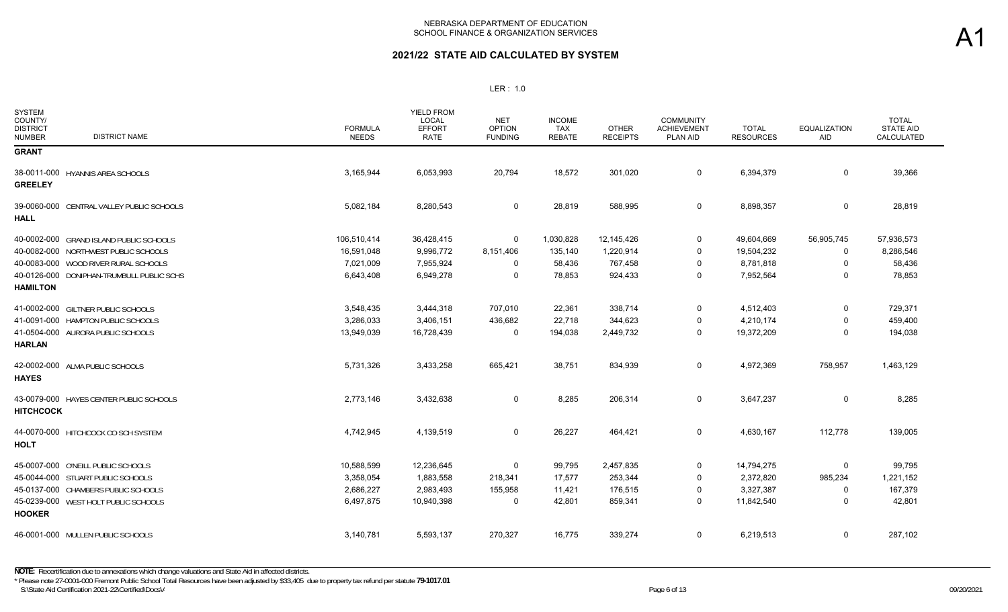| SYSTEM<br>COUNTY/<br><b>DISTRICT</b><br><b>DISTRICT NAME</b><br><b>NUMBER</b> | <b>FORMULA</b><br><b>NEEDS</b> | YIELD FROM<br><b>LOCAL</b><br><b>EFFORT</b><br><b>RATE</b> | <b>NET</b><br><b>OPTION</b><br><b>FUNDING</b> | <b>INCOME</b><br><b>TAX</b><br><b>REBATE</b> | <b>OTHER</b><br><b>RECEIPTS</b> | <b>COMMUNITY</b><br><b>ACHIEVEMENT</b><br><b>PLAN AID</b> | <b>TOTAL</b><br><b>RESOURCES</b> | <b>EQUALIZATION</b><br>AID | <b>TOTAL</b><br><b>STATE AID</b><br>CALCULATED |
|-------------------------------------------------------------------------------|--------------------------------|------------------------------------------------------------|-----------------------------------------------|----------------------------------------------|---------------------------------|-----------------------------------------------------------|----------------------------------|----------------------------|------------------------------------------------|
| <b>GRANT</b>                                                                  |                                |                                                            |                                               |                                              |                                 |                                                           |                                  |                            |                                                |
| 38-0011-000 HYANNIS AREA SCHOOLS<br><b>GREELEY</b>                            | 3,165,944                      | 6,053,993                                                  | 20,794                                        | 18,572                                       | 301,020                         | $\mathbf 0$                                               | 6,394,379                        | $\mathbf 0$                | 39,366                                         |
| 39-0060-000 CENTRAL VALLEY PUBLIC SCHOOLS<br><b>HALL</b>                      | 5,082,184                      | 8,280,543                                                  | 0                                             | 28,819                                       | 588,995                         | $\mathsf{O}$                                              | 8,898,357                        | $\mathbf 0$                | 28,819                                         |
| 40-0002-000 GRAND ISLAND PUBLIC SCHOOLS                                       | 106,510,414                    | 36,428,415                                                 | 0                                             | 1,030,828                                    | 12,145,426                      | $\mathbf 0$                                               | 49,604,669                       | 56,905,745                 | 57,936,573                                     |
| 40-0082-000 NORTHWEST PUBLIC SCHOOLS                                          | 16,591,048                     | 9,996,772                                                  | 8,151,406                                     | 135,140                                      | 1,220,914                       | $\Omega$                                                  | 19,504,232                       | 0                          | 8,286,546                                      |
| 40-0083-000 WOOD RIVER RURAL SCHOOLS                                          | 7,021,009                      | 7,955,924                                                  | 0                                             | 58,436                                       | 767,458                         | 0                                                         | 8,781,818                        | 0                          | 58,436                                         |
| 40-0126-000 DONIPHAN-TRUMBULL PUBLIC SCHS<br><b>HAMILTON</b>                  | 6,643,408                      | 6,949,278                                                  | $\Omega$                                      | 78,853                                       | 924,433                         | $\Omega$                                                  | 7,952,564                        | $\Omega$                   | 78,853                                         |
| 41-0002-000 GILTNER PUBLIC SCHOOLS                                            | 3,548,435                      | 3,444,318                                                  | 707,010                                       | 22,361                                       | 338,714                         | $\mathbf 0$                                               | 4,512,403                        | $\mathbf 0$                | 729,371                                        |
| 41-0091-000 HAMPTON PUBLIC SCHOOLS                                            | 3,286,033                      | 3,406,151                                                  | 436,682                                       | 22,718                                       | 344,623                         | 0                                                         | 4,210,174                        | $\Omega$                   | 459,400                                        |
| 41-0504-000 AURORA PUBLIC SCHOOLS<br><b>HARLAN</b>                            | 13,949,039                     | 16,728,439                                                 | 0                                             | 194,038                                      | 2,449,732                       | 0                                                         | 19,372,209                       | 0                          | 194,038                                        |
| 42-0002-000 ALMA PUBLIC SCHOOLS<br><b>HAYES</b>                               | 5,731,326                      | 3,433,258                                                  | 665,421                                       | 38,751                                       | 834,939                         | $\mathbf 0$                                               | 4,972,369                        | 758,957                    | 1,463,129                                      |
| 43-0079-000 HAYES CENTER PUBLIC SCHOOLS<br><b>HITCHCOCK</b>                   | 2,773,146                      | 3,432,638                                                  | 0                                             | 8,285                                        | 206,314                         | $\mathbf 0$                                               | 3,647,237                        | $\Omega$                   | 8,285                                          |
| 44-0070-000 HITCHCOCK CO SCH SYSTEM<br><b>HOLT</b>                            | 4,742,945                      | 4,139,519                                                  | 0                                             | 26,227                                       | 464,421                         | 0                                                         | 4,630,167                        | 112,778                    | 139,005                                        |
| 45-0007-000 O'NEILL PUBLIC SCHOOLS                                            | 10,588,599                     | 12,236,645                                                 | 0                                             | 99,795                                       | 2,457,835                       | 0                                                         | 14,794,275                       | 0                          | 99,795                                         |
| 45-0044-000 STUART PUBLIC SCHOOLS                                             | 3,358,054                      | 1,883,558                                                  | 218,341                                       | 17,577                                       | 253,344                         | 0                                                         | 2,372,820                        | 985,234                    | 1,221,152                                      |
| 45-0137-000 CHAMBERS PUBLIC SCHOOLS                                           | 2,686,227                      | 2,983,493                                                  | 155,958                                       | 11,421                                       | 176,515                         | $\Omega$                                                  | 3,327,387                        | 0                          | 167,379                                        |
| 45-0239-000 WEST HOLT PUBLIC SCHOOLS<br><b>HOOKER</b>                         | 6,497,875                      | 10,940,398                                                 | $\Omega$                                      | 42,801                                       | 859,341                         | $\Omega$                                                  | 11,842,540                       | 0                          | 42,801                                         |
| 46-0001-000 MULLEN PUBLIC SCHOOLS                                             | 3,140,781                      | 5,593,137                                                  | 270,327                                       | 16,775                                       | 339,274                         | 0                                                         | 6,219,513                        | 0                          | 287,102                                        |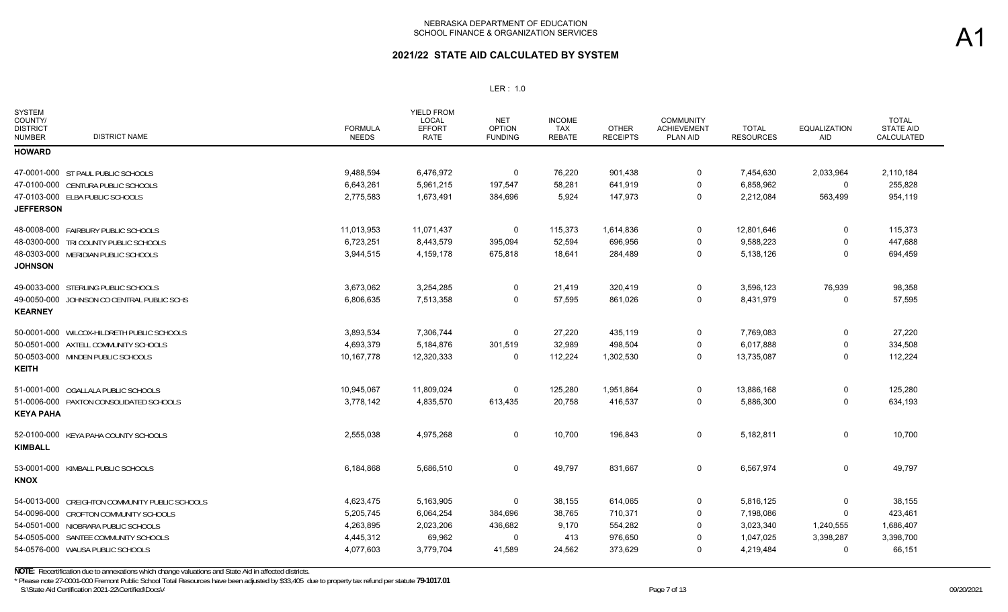## **2021/22 STATE AID CALCULATED BY SYSTEM**

### LER : 1.0

| <b>SYSTEM</b><br>COUNTY/<br><b>DISTRICT</b><br><b>DISTRICT NAME</b><br><b>NUMBER</b> | <b>FORMULA</b><br><b>NEEDS</b> | <b>YIELD FROM</b><br><b>LOCAL</b><br><b>EFFORT</b><br><b>RATE</b> | <b>NET</b><br><b>OPTION</b><br><b>FUNDING</b> | <b>INCOME</b><br><b>TAX</b><br><b>REBATE</b> | <b>OTHER</b><br><b>RECEIPTS</b> | <b>COMMUNITY</b><br><b>ACHIEVEMENT</b><br>PLAN AID | <b>TOTAL</b><br><b>RESOURCES</b> | <b>EQUALIZATION</b><br><b>AID</b> | <b>TOTAL</b><br><b>STATE AID</b><br><b>CALCULATED</b> |
|--------------------------------------------------------------------------------------|--------------------------------|-------------------------------------------------------------------|-----------------------------------------------|----------------------------------------------|---------------------------------|----------------------------------------------------|----------------------------------|-----------------------------------|-------------------------------------------------------|
| <b>HOWARD</b>                                                                        |                                |                                                                   |                                               |                                              |                                 |                                                    |                                  |                                   |                                                       |
| 47-0001-000 ST PAUL PUBLIC SCHOOLS                                                   | 9,488,594                      | 6,476,972                                                         | $\mathbf 0$                                   | 76,220                                       | 901,438                         | $\mathbf 0$                                        | 7,454,630                        | 2,033,964                         | 2,110,184                                             |
| 47-0100-000 CENTURA PUBLIC SCHOOLS                                                   | 6,643,261                      | 5,961,215                                                         | 197,547                                       | 58,281                                       | 641,919                         | $\mathbf 0$                                        | 6,858,962                        | 0                                 | 255,828                                               |
| 47-0103-000 ELBA PUBLIC SCHOOLS                                                      | 2,775,583                      | 1,673,491                                                         | 384,696                                       | 5,924                                        | 147,973                         | 0                                                  | 2,212,084                        | 563,499                           | 954,119                                               |
| <b>JEFFERSON</b>                                                                     |                                |                                                                   |                                               |                                              |                                 |                                                    |                                  |                                   |                                                       |
| 48-0008-000 FAIRBURY PUBLIC SCHOOLS                                                  | 11,013,953                     | 11,071,437                                                        | 0                                             | 115,373                                      | 1,614,836                       | 0                                                  | 12,801,646                       | 0                                 | 115,373                                               |
| 48-0300-000 TRI COUNTY PUBLIC SCHOOLS                                                | 6,723,251                      | 8,443,579                                                         | 395,094                                       | 52,594                                       | 696,956                         | 0                                                  | 9,588,223                        | $\Omega$                          | 447,688                                               |
| 48-0303-000 MERIDIAN PUBLIC SCHOOLS                                                  | 3,944,515                      | 4,159,178                                                         | 675,818                                       | 18,641                                       | 284,489                         | 0                                                  | 5,138,126                        | 0                                 | 694,459                                               |
| <b>JOHNSON</b>                                                                       |                                |                                                                   |                                               |                                              |                                 |                                                    |                                  |                                   |                                                       |
| 49-0033-000 STERLING PUBLIC SCHOOLS                                                  | 3,673,062                      | 3,254,285                                                         | $\Omega$                                      | 21,419                                       | 320,419                         | 0                                                  | 3,596,123                        | 76,939                            | 98,358                                                |
| 49-0050-000 JOHNSON CO CENTRAL PUBLIC SCHS                                           | 6,806,635                      | 7,513,358                                                         | $\Omega$                                      | 57,595                                       | 861,026                         | $\mathbf 0$                                        | 8,431,979                        | $\Omega$                          | 57,595                                                |
| <b>KEARNEY</b>                                                                       |                                |                                                                   |                                               |                                              |                                 |                                                    |                                  |                                   |                                                       |
| 50-0001-000 WILCOX-HILDRETH PUBLIC SCHOOLS                                           | 3,893,534                      | 7,306,744                                                         | $\Omega$                                      | 27,220                                       | 435,119                         | 0                                                  | 7,769,083                        | 0                                 | 27,220                                                |
| 50-0501-000 AXTELL COMMUNITY SCHOOLS                                                 | 4,693,379                      | 5,184,876                                                         | 301,519                                       | 32,989                                       | 498,504                         | 0                                                  | 6,017,888                        | 0                                 | 334,508                                               |
| 50-0503-000 MINDEN PUBLIC SCHOOLS                                                    | 10,167,778                     | 12,320,333                                                        | 0                                             | 112,224                                      | 1,302,530                       | 0                                                  | 13,735,087                       | 0                                 | 112,224                                               |
| <b>KEITH</b>                                                                         |                                |                                                                   |                                               |                                              |                                 |                                                    |                                  |                                   |                                                       |
| 51-0001-000 OGALLALA PUBLIC SCHOOLS                                                  | 10,945,067                     | 11,809,024                                                        | 0                                             | 125,280                                      | 1,951,864                       | 0                                                  | 13,886,168                       | 0                                 | 125,280                                               |
| 51-0006-000 PAXTON CONSOLIDATED SCHOOLS                                              | 3,778,142                      | 4,835,570                                                         | 613,435                                       | 20,758                                       | 416,537                         | $\mathbf 0$                                        | 5,886,300                        | 0                                 | 634,193                                               |
| <b>KEYA PAHA</b>                                                                     |                                |                                                                   |                                               |                                              |                                 |                                                    |                                  |                                   |                                                       |
| 52-0100-000 KEYA PAHA COUNTY SCHOOLS                                                 | 2,555,038                      | 4,975,268                                                         | 0                                             | 10,700                                       | 196,843                         | 0                                                  | 5,182,811                        | 0                                 | 10,700                                                |
| <b>KIMBALL</b>                                                                       |                                |                                                                   |                                               |                                              |                                 |                                                    |                                  |                                   |                                                       |
| 53-0001-000 KIMBALL PUBLIC SCHOOLS                                                   | 6,184,868                      | 5,686,510                                                         | 0                                             | 49,797                                       | 831,667                         | 0                                                  | 6,567,974                        | 0                                 | 49,797                                                |
| <b>KNOX</b>                                                                          |                                |                                                                   |                                               |                                              |                                 |                                                    |                                  |                                   |                                                       |
| 54-0013-000 CREIGHTON COMMUNITY PUBLIC SCHOOLS                                       | 4,623,475                      | 5,163,905                                                         | 0                                             | 38,155                                       | 614,065                         | 0                                                  | 5,816,125                        | 0                                 | 38,155                                                |
| 54-0096-000 CROFTON COMMUNITY SCHOOLS                                                | 5,205,745                      | 6,064,254                                                         | 384,696                                       | 38,765                                       | 710,371                         | $\mathbf 0$                                        | 7,198,086                        | $\Omega$                          | 423,461                                               |
| 54-0501-000 NIOBRARA PUBLIC SCHOOLS                                                  | 4,263,895                      | 2,023,206                                                         | 436,682                                       | 9,170                                        | 554,282                         | $\overline{0}$                                     | 3,023,340                        | 1,240,555                         | 1,686,407                                             |
| 54-0505-000 SANTEE COMMUNITY SCHOOLS                                                 | 4,445,312                      | 69,962                                                            | $\Omega$                                      | 413                                          | 976,650                         | $\mathbf 0$                                        | 1,047,025                        | 3,398,287                         | 3,398,700                                             |
| 54-0576-000 WAUSA PUBLIC SCHOOLS                                                     | 4,077,603                      | 3,779,704                                                         | 41,589                                        | 24,562                                       | 373,629                         | $\mathbf 0$                                        | 4,219,484                        | $\Omega$                          | 66,151                                                |
|                                                                                      |                                |                                                                   |                                               |                                              |                                 |                                                    |                                  |                                   |                                                       |

S:\State Aid Certification 2021-22\Certified\Docs\A  $P$ age 7 of 13 09/20/2021 **NOTE:** Recertification due to annexations which change valuations and State Aid in affected districts. \* Please note 27-0001-000 Fremont Public School Total Resources have been adjusted by \$33,405 due to property tax refund per statute **79-1017.01**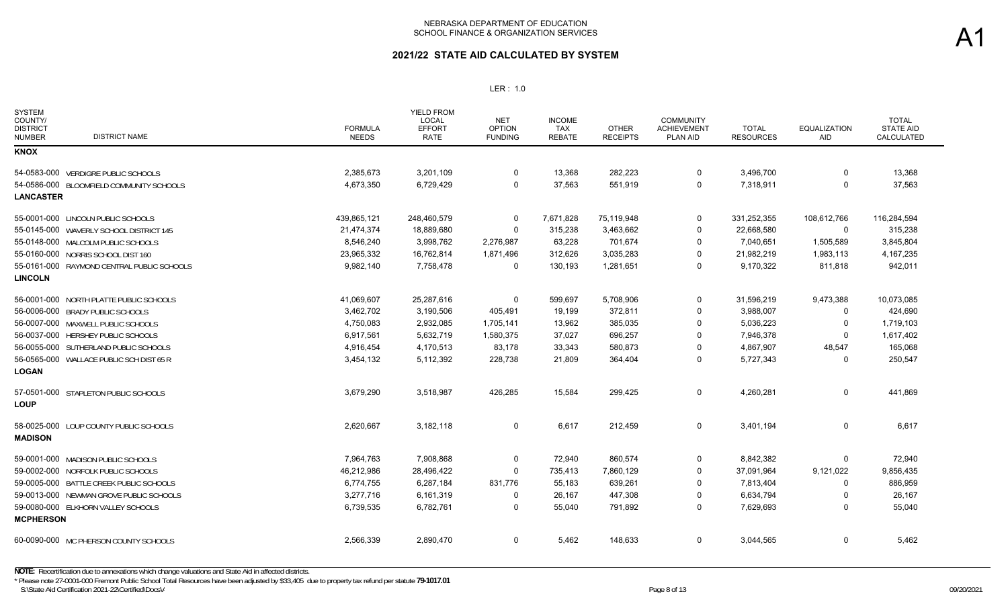## **2021/22 STATE AID CALCULATED BY SYSTEM**

### LER : 1.0

| <b>SYSTEM</b><br>COUNTY/<br><b>DISTRICT</b><br><b>DISTRICT NAME</b><br>NUMBER | <b>FORMULA</b><br><b>NEEDS</b> | <b>YIELD FROM</b><br><b>LOCAL</b><br><b>EFFORT</b><br>RATE | <b>NET</b><br><b>OPTION</b><br><b>FUNDING</b> | <b>INCOME</b><br><b>TAX</b><br><b>REBATE</b> | <b>OTHER</b><br><b>RECEIPTS</b> | <b>COMMUNITY</b><br><b>ACHIEVEMENT</b><br><b>PLAN AID</b> | <b>TOTAL</b><br><b>RESOURCES</b> | <b>EQUALIZATION</b><br>AID | <b>TOTAL</b><br><b>STATE AID</b><br>CALCULATED |
|-------------------------------------------------------------------------------|--------------------------------|------------------------------------------------------------|-----------------------------------------------|----------------------------------------------|---------------------------------|-----------------------------------------------------------|----------------------------------|----------------------------|------------------------------------------------|
| <b>KNOX</b>                                                                   |                                |                                                            |                                               |                                              |                                 |                                                           |                                  |                            |                                                |
| 54-0583-000 VERDIGRE PUBLIC SCHOOLS                                           | 2,385,673                      | 3,201,109                                                  | 0                                             | 13,368                                       | 282,223                         | 0                                                         | 3,496,700                        | 0                          | 13,368                                         |
| 54-0586-000 BLOOMFIELD COMMUNITY SCHOOLS                                      | 4,673,350                      | 6,729,429                                                  | 0                                             | 37,563                                       | 551,919                         | $\Omega$                                                  | 7,318,911                        | 0                          | 37,563                                         |
| <b>LANCASTER</b>                                                              |                                |                                                            |                                               |                                              |                                 |                                                           |                                  |                            |                                                |
| 55-0001-000 LINCOLN PUBLIC SCHOOLS                                            | 439,865,121                    | 248,460,579                                                | 0                                             | 7,671,828                                    | 75,119,948                      | 0                                                         | 331,252,355                      | 108,612,766                | 116,284,594                                    |
| 55-0145-000 WAVERLY SCHOOL DISTRICT 145                                       | 21,474,374                     | 18,889,680                                                 | 0                                             | 315,238                                      | 3,463,662                       | 0                                                         | 22,668,580                       | 0                          | 315,238                                        |
| 55-0148-000 MALCOLM PUBLIC SCHOOLS                                            | 8,546,240                      | 3,998,762                                                  | 2,276,987                                     | 63,228                                       | 701,674                         | 0                                                         | 7,040,651                        | 1,505,589                  | 3,845,804                                      |
| 55-0160-000 NORRIS SCHOOL DIST 160                                            | 23,965,332                     | 16,762,814                                                 | 1,871,496                                     | 312,626                                      | 3,035,283                       | 0                                                         | 21,982,219                       | 1,983,113                  | 4,167,235                                      |
| 55-0161-000 RAYMOND CENTRAL PUBLIC SCHOOLS                                    | 9,982,140                      | 7,758,478                                                  | 0                                             | 130,193                                      | 1,281,651                       | 0                                                         | 9,170,322                        | 811,818                    | 942,011                                        |
| <b>LINCOLN</b>                                                                |                                |                                                            |                                               |                                              |                                 |                                                           |                                  |                            |                                                |
| 56-0001-000 NORTH PLATTE PUBLIC SCHOOLS                                       | 41,069,607                     | 25,287,616                                                 | 0                                             | 599,697                                      | 5,708,906                       | 0                                                         | 31,596,219                       | 9,473,388                  | 10,073,085                                     |
| 56-0006-000 BRADY PUBLIC SCHOOLS                                              | 3,462,702                      | 3,190,506                                                  | 405,491                                       | 19,199                                       | 372,811                         | 0                                                         | 3,988,007                        | 0                          | 424,690                                        |
| 56-0007-000 MAXWELL PUBLIC SCHOOLS                                            | 4,750,083                      | 2,932,085                                                  | 1,705,141                                     | 13,962                                       | 385,035                         | 0                                                         | 5,036,223                        | 0                          | 1,719,103                                      |
| 56-0037-000 HERSHEY PUBLIC SCHOOLS                                            | 6,917,561                      | 5,632,719                                                  | 1,580,375                                     | 37,027                                       | 696,257                         | 0                                                         | 7,946,378                        | 0                          | 1,617,402                                      |
| 56-0055-000 SUTHERLAND PUBLIC SCHOOLS                                         | 4,916,454                      | 4,170,513                                                  | 83,178                                        | 33,343                                       | 580,873                         | 0                                                         | 4,867,907                        | 48,547                     | 165,068                                        |
| 56-0565-000 WALLACE PUBLIC SCH DIST 65 R                                      | 3,454,132                      | 5,112,392                                                  | 228,738                                       | 21,809                                       | 364,404                         | 0                                                         | 5,727,343                        | 0                          | 250,547                                        |
| <b>LOGAN</b>                                                                  |                                |                                                            |                                               |                                              |                                 |                                                           |                                  |                            |                                                |
| 57-0501-000 STAPLETON PUBLIC SCHOOLS<br><b>LOUP</b>                           | 3,679,290                      | 3,518,987                                                  | 426,285                                       | 15,584                                       | 299,425                         | 0                                                         | 4,260,281                        | 0                          | 441,869                                        |
| 58-0025-000 LOUP COUNTY PUBLIC SCHOOLS                                        | 2,620,667                      | 3,182,118                                                  | 0                                             | 6,617                                        | 212,459                         | 0                                                         | 3,401,194                        | 0                          | 6,617                                          |
| <b>MADISON</b>                                                                |                                |                                                            |                                               |                                              |                                 |                                                           |                                  |                            |                                                |
| 59-0001-000 MADISON PUBLIC SCHOOLS                                            | 7,964,763                      | 7,908,868                                                  | 0                                             | 72,940                                       | 860,574                         | 0                                                         | 8,842,382                        | 0                          | 72,940                                         |
| 59-0002-000 NORFOLK PUBLIC SCHOOLS                                            | 46,212,986                     | 28,496,422                                                 | 0                                             | 735,413                                      | 7,860,129                       | 0                                                         | 37,091,964                       | 9,121,022                  | 9,856,435                                      |
| 59-0005-000 BATTLE CREEK PUBLIC SCHOOLS                                       | 6,774,755                      | 6,287,184                                                  | 831,776                                       | 55,183                                       | 639,261                         | 0                                                         | 7,813,404                        | 0                          | 886,959                                        |
| 59-0013-000 NEWMAN GROVE PUBLIC SCHOOLS                                       | 3,277,716                      | 6,161,319                                                  | 0                                             | 26,167                                       | 447,308                         | 0                                                         | 6,634,794                        | 0                          | 26,167                                         |
| 59-0080-000 ELKHORN VALLEY SCHOOLS                                            | 6,739,535                      | 6,782,761                                                  | 0                                             | 55,040                                       | 791,892                         | $\Omega$                                                  | 7,629,693                        | $\Omega$                   | 55,040                                         |
| <b>MCPHERSON</b>                                                              |                                |                                                            |                                               |                                              |                                 |                                                           |                                  |                            |                                                |
| 60-0090-000 MC PHERSON COUNTY SCHOOLS                                         | 2,566,339                      | 2,890,470                                                  | 0                                             | 5,462                                        | 148,633                         | 0                                                         | 3,044,565                        | 0                          | 5,462                                          |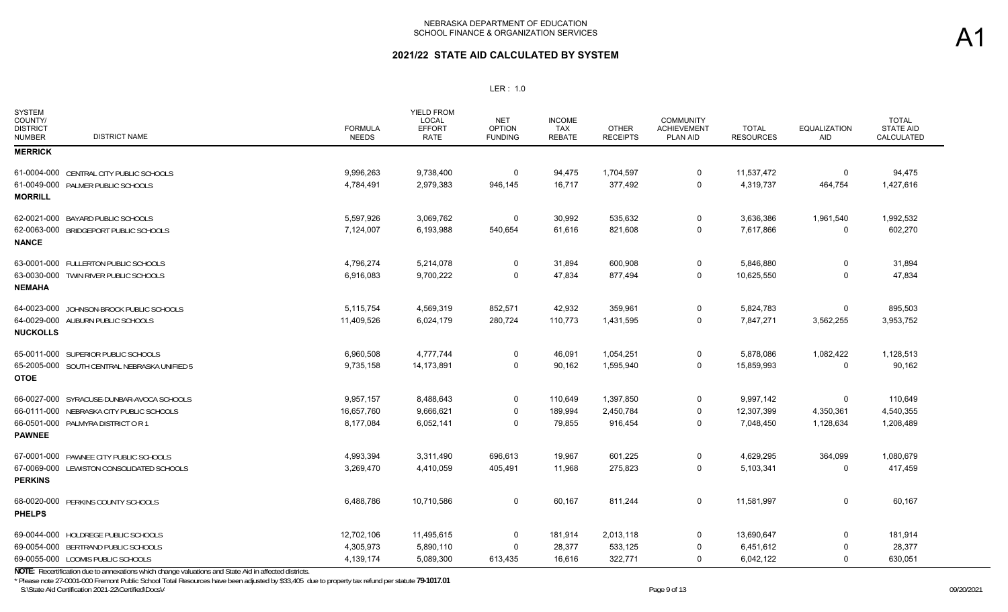## **2021/22 STATE AID CALCULATED BY SYSTEM**

### LER : 1.0

| <b>SYSTEM</b><br>COUNTY/<br><b>DISTRICT</b><br><b>DISTRICT NAME</b><br><b>NUMBER</b> | <b>FORMULA</b><br><b>NEEDS</b> | <b>YIELD FROM</b><br>LOCAL<br><b>EFFORT</b><br><b>RATE</b> | <b>NET</b><br><b>OPTION</b><br><b>FUNDING</b> | <b>INCOME</b><br>TAX<br><b>REBATE</b> | <b>OTHER</b><br><b>RECEIPTS</b> | <b>COMMUNITY</b><br><b>ACHIEVEMENT</b><br>PLAN AID | <b>TOTAL</b><br><b>RESOURCES</b> | <b>EQUALIZATION</b><br>AID | <b>TOTAL</b><br><b>STATE AID</b><br>CALCULATED |
|--------------------------------------------------------------------------------------|--------------------------------|------------------------------------------------------------|-----------------------------------------------|---------------------------------------|---------------------------------|----------------------------------------------------|----------------------------------|----------------------------|------------------------------------------------|
| <b>MERRICK</b>                                                                       |                                |                                                            |                                               |                                       |                                 |                                                    |                                  |                            |                                                |
| 61-0004-000 CENTRAL CITY PUBLIC SCHOOLS                                              | 9,996,263                      | 9,738,400                                                  | 0                                             | 94,475                                | 1,704,597                       | 0                                                  | 11,537,472                       | 0                          | 94,475                                         |
| 61-0049-000 PALMER PUBLIC SCHOOLS                                                    | 4,784,491                      | 2,979,383                                                  | 946,145                                       | 16,717                                | 377,492                         | $\mathbf 0$                                        | 4,319,737                        | 464,754                    | 1,427,616                                      |
| <b>MORRILL</b>                                                                       |                                |                                                            |                                               |                                       |                                 |                                                    |                                  |                            |                                                |
| 62-0021-000 BAYARD PUBLIC SCHOOLS                                                    | 5,597,926                      | 3,069,762                                                  | 0                                             | 30,992                                | 535,632                         | 0                                                  | 3,636,386                        | 1,961,540                  | 1,992,532                                      |
| 62-0063-000 BRIDGEPORT PUBLIC SCHOOLS<br><b>NANCE</b>                                | 7,124,007                      | 6,193,988                                                  | 540,654                                       | 61,616                                | 821,608                         | 0                                                  | 7,617,866                        | 0                          | 602,270                                        |
| 63-0001-000 FULLERTON PUBLIC SCHOOLS                                                 | 4,796,274                      | 5,214,078                                                  | 0                                             | 31,894                                | 600,908                         | 0                                                  | 5,846,880                        | $\mathbf 0$                | 31,894                                         |
| 63-0030-000 TWIN RIVER PUBLIC SCHOOLS<br><b>NEMAHA</b>                               | 6,916,083                      | 9,700,222                                                  | $\Omega$                                      | 47,834                                | 877,494                         | $\Omega$                                           | 10,625,550                       | $\Omega$                   | 47,834                                         |
| 64-0023-000 JOHNSON-BROCK PUBLIC SCHOOLS                                             | 5,115,754                      | 4,569,319                                                  | 852,571                                       | 42,932                                | 359,961                         | 0                                                  | 5,824,783                        | 0                          | 895,503                                        |
| 64-0029-000 AUBURN PUBLIC SCHOOLS<br><b>NUCKOLLS</b>                                 | 11,409,526                     | 6,024,179                                                  | 280,724                                       | 110,773                               | 1,431,595                       | $\mathbf 0$                                        | 7,847,271                        | 3,562,255                  | 3,953,752                                      |
| 65-0011-000 SUPERIOR PUBLIC SCHOOLS                                                  | 6,960,508                      | 4,777,744                                                  | 0                                             | 46,091                                | 1,054,251                       | 0                                                  | 5,878,086                        | 1,082,422                  | 1,128,513                                      |
| 65-2005-000 SOUTH CENTRAL NEBRASKA UNIFIED 5<br><b>OTOE</b>                          | 9,735,158                      | 14,173,891                                                 | 0                                             | 90,162                                | 1,595,940                       | $\mathbf 0$                                        | 15,859,993                       | $\mathbf 0$                | 90,162                                         |
| 66-0027-000 SYRACUSE-DUNBAR-AVOCA SCHOOLS                                            | 9,957,157                      | 8,488,643                                                  | 0                                             | 110,649                               | 1,397,850                       | 0                                                  | 9,997,142                        | $\mathbf 0$                | 110,649                                        |
| 66-0111-000 NEBRASKA CITY PUBLIC SCHOOLS                                             | 16,657,760                     | 9,666,621                                                  | 0                                             | 189,994                               | 2,450,784                       | $\Omega$                                           | 12,307,399                       | 4,350,361                  | 4,540,355                                      |
| 66-0501-000 PALMYRA DISTRICT OR 1<br><b>PAWNEE</b>                                   | 8,177,084                      | 6,052,141                                                  | 0                                             | 79,855                                | 916,454                         | $\Omega$                                           | 7,048,450                        | 1,128,634                  | 1,208,489                                      |
| 67-0001-000 PAWNEE CITY PUBLIC SCHOOLS                                               | 4,993,394                      | 3,311,490                                                  | 696,613                                       | 19,967                                | 601,225                         | 0                                                  | 4,629,295                        | 364,099                    | 1,080,679                                      |
| 67-0069-000 LEWISTON CONSOLIDATED SCHOOLS                                            | 3,269,470                      | 4,410,059                                                  | 405,491                                       | 11,968                                | 275,823                         | $\Omega$                                           | 5,103,341                        | $\Omega$                   | 417,459                                        |
| <b>PERKINS</b>                                                                       |                                |                                                            |                                               |                                       |                                 |                                                    |                                  |                            |                                                |
| 68-0020-000 PERKINS COUNTY SCHOOLS<br><b>PHELPS</b>                                  | 6,488,786                      | 10,710,586                                                 | 0                                             | 60,167                                | 811,244                         | 0                                                  | 11,581,997                       | $\mathbf 0$                | 60,167                                         |
| 69-0044-000 HOLDREGE PUBLIC SCHOOLS                                                  | 12,702,106                     | 11,495,615                                                 | 0                                             | 181,914                               | 2,013,118                       | 0                                                  | 13,690,647                       | 0                          | 181,914                                        |
| 69-0054-000 BERTRAND PUBLIC SCHOOLS                                                  | 4,305,973                      | 5,890,110                                                  | $\Omega$                                      | 28,377                                | 533,125                         | 0                                                  | 6,451,612                        | $\mathbf 0$                | 28,377                                         |
| 69-0055-000 LOOMIS PUBLIC SCHOOLS                                                    | 4,139,174                      | 5,089,300                                                  | 613,435                                       | 16,616                                | 322,771                         | 0                                                  | 6,042,122                        | $\Omega$                   | 630,051                                        |

**NOTE:** Recertification due to annexations which change valuations and State Aid in affected districts.

S:\State Aid Certification 2021-22\Certified\Docs\A Page 9 Of 2012012021 Page 9 of 13 \* Please note 27-0001-000 Fremont Public School Total Resources have been adjusted by \$33,405 due to property tax refund per statute **79-1017.01**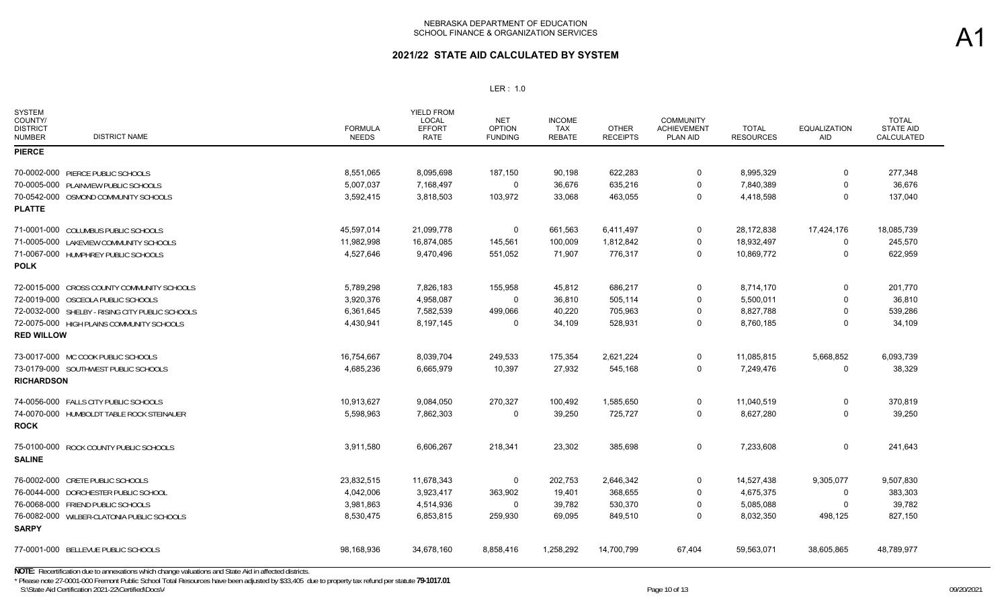## **2021/22 STATE AID CALCULATED BY SYSTEM**

### LER : 1.0

| <b>SYSTEM</b><br>COUNTY/<br><b>DISTRICT</b><br><b>DISTRICT NAME</b><br><b>NUMBER</b> | <b>FORMULA</b><br><b>NEEDS</b> | <b>YIELD FROM</b><br>LOCAL<br><b>EFFORT</b><br><b>RATE</b> | <b>NET</b><br><b>OPTION</b><br><b>FUNDING</b> | <b>INCOME</b><br><b>TAX</b><br><b>REBATE</b> | <b>OTHER</b><br><b>RECEIPTS</b> | <b>COMMUNITY</b><br><b>ACHIEVEMENT</b><br>PLAN AID | TOTAL<br><b>RESOURCES</b> | <b>EQUALIZATION</b><br><b>AID</b> | <b>TOTAL</b><br><b>STATE AID</b><br>CALCULATED |
|--------------------------------------------------------------------------------------|--------------------------------|------------------------------------------------------------|-----------------------------------------------|----------------------------------------------|---------------------------------|----------------------------------------------------|---------------------------|-----------------------------------|------------------------------------------------|
| <b>PIERCE</b>                                                                        |                                |                                                            |                                               |                                              |                                 |                                                    |                           |                                   |                                                |
| 70-0002-000 PIERCE PUBLIC SCHOOLS                                                    | 8,551,065                      | 8,095,698                                                  | 187,150                                       | 90,198                                       | 622,283                         | $\Omega$                                           | 8,995,329                 | $\Omega$                          | 277,348                                        |
| 70-0005-000 PLAINVIEW PUBLIC SCHOOLS                                                 | 5,007,037                      | 7,168,497                                                  | $\mathbf 0$                                   | 36,676                                       | 635,216                         | $\Omega$                                           | 7,840,389                 | $\Omega$                          | 36,676                                         |
| 70-0542-000 OSMOND COMMUNITY SCHOOLS                                                 | 3,592,415                      | 3,818,503                                                  | 103,972                                       | 33,068                                       | 463,055                         | $\Omega$                                           | 4,418,598                 | $\Omega$                          | 137,040                                        |
| <b>PLATTE</b>                                                                        |                                |                                                            |                                               |                                              |                                 |                                                    |                           |                                   |                                                |
| 71-0001-000 COLUMBUS PUBLIC SCHOOLS                                                  | 45,597,014                     | 21,099,778                                                 | 0                                             | 661,563                                      | 6,411,497                       | 0                                                  | 28,172,838                | 17,424,176                        | 18,085,739                                     |
| 71-0005-000 LAKEVIEW COMMUNITY SCHOOLS                                               | 11,982,998                     | 16,874,085                                                 | 145,561                                       | 100,009                                      | 1,812,842                       | 0                                                  | 18,932,497                | 0                                 | 245,570                                        |
| 71-0067-000 HUMPHREY PUBLIC SCHOOLS<br><b>POLK</b>                                   | 4,527,646                      | 9,470,496                                                  | 551,052                                       | 71,907                                       | 776,317                         | $\Omega$                                           | 10,869,772                | $\Omega$                          | 622,959                                        |
| 72-0015-000 CROSS COUNTY COMMUNITY SCHOOLS                                           | 5,789,298                      | 7,826,183                                                  | 155,958                                       | 45,812                                       | 686,217                         | $\Omega$                                           | 8,714,170                 | $\Omega$                          | 201,770                                        |
| 72-0019-000 OSCEOLA PUBLIC SCHOOLS                                                   | 3,920,376                      | 4,958,087                                                  | $\mathbf 0$                                   | 36,810                                       | 505,114                         | $\Omega$                                           | 5,500,011                 | $\Omega$                          | 36,810                                         |
| 72-0032-000 SHELBY - RISING CITY PUBLIC SCHOOLS                                      | 6,361,645                      | 7,582,539                                                  | 499,066                                       | 40,220                                       | 705,963                         | $\Omega$                                           | 8,827,788                 | $\Omega$                          | 539,286                                        |
| 72-0075-000 HIGH PLAINS COMMUNITY SCHOOLS<br><b>RED WILLOW</b>                       | 4,430,941                      | 8,197,145                                                  | 0                                             | 34,109                                       | 528,931                         | $\Omega$                                           | 8,760,185                 | $\Omega$                          | 34,109                                         |
| 73-0017-000 MC COOK PUBLIC SCHOOLS                                                   | 16,754,667                     | 8,039,704                                                  | 249,533                                       | 175,354                                      | 2,621,224                       | 0                                                  | 11,085,815                | 5,668,852                         | 6,093,739                                      |
| 73-0179-000 SOUTHWEST PUBLIC SCHOOLS<br><b>RICHARDSON</b>                            | 4,685,236                      | 6,665,979                                                  | 10,397                                        | 27,932                                       | 545,168                         | $\Omega$                                           | 7,249,476                 | $\Omega$                          | 38,329                                         |
| 74-0056-000 FALLS CITY PUBLIC SCHOOLS                                                | 10,913,627                     | 9,084,050                                                  | 270,327                                       | 100,492                                      | 1,585,650                       | 0                                                  | 11,040,519                | 0                                 | 370,819                                        |
| 74-0070-000 HUMBOLDT TABLE ROCK STEINAUER<br><b>ROCK</b>                             | 5,598,963                      | 7,862,303                                                  | 0                                             | 39,250                                       | 725,727                         | $\mathbf 0$                                        | 8,627,280                 | $\Omega$                          | 39,250                                         |
| 75-0100-000 ROCK COUNTY PUBLIC SCHOOLS<br><b>SALINE</b>                              | 3,911,580                      | 6,606,267                                                  | 218,341                                       | 23,302                                       | 385,698                         | $\mathbf 0$                                        | 7,233,608                 | $\Omega$                          | 241,643                                        |
| 76-0002-000 CRETE PUBLIC SCHOOLS                                                     | 23,832,515                     | 11,678,343                                                 | $\mathbf 0$                                   | 202,753                                      | 2,646,342                       | 0                                                  | 14,527,438                | 9,305,077                         | 9,507,830                                      |
| 76-0044-000 DORCHESTER PUBLIC SCHOOL                                                 | 4,042,006                      | 3,923,417                                                  | 363,902                                       | 19,401                                       | 368,655                         | $\mathbf 0$                                        | 4,675,375                 | 0                                 | 383,303                                        |
| 76-0068-000 FRIEND PUBLIC SCHOOLS                                                    | 3,981,863                      | 4,514,936                                                  | $\mathbf 0$                                   | 39,782                                       | 530,370                         | $\Omega$                                           | 5,085,088                 | $\Omega$                          | 39,782                                         |
| 76-0082-000 WILBER-CLATONIA PUBLIC SCHOOLS<br><b>SARPY</b>                           | 8,530,475                      | 6,853,815                                                  | 259,930                                       | 69,095                                       | 849,510                         | $\Omega$                                           | 8,032,350                 | 498,125                           | 827,150                                        |
| 77-0001-000 BELLEVUE PUBLIC SCHOOLS                                                  | 98,168,936                     | 34,678,160                                                 | 8,858,416                                     | 1,258,292                                    | 14,700,799                      | 67,404                                             | 59,563,071                | 38,605,865                        | 48,789,977                                     |

S:\State Aid Certification 2021-22\Certified\Docs\A  $P_{\text{A}}$  and  $P_{\text{A}}$  are 10 of 13 09/20/2021 **NOTE:** Recertification due to annexations which change valuations and State Aid in affected districts. \* Please note 27-0001-000 Fremont Public School Total Resources have been adjusted by \$33,405 due to property tax refund per statute **79-1017.01**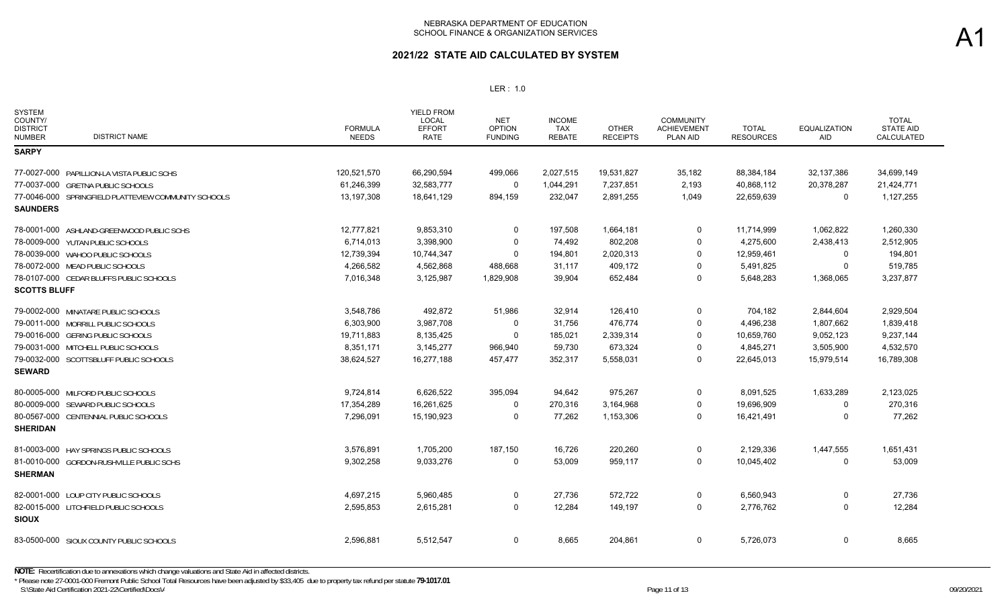## **2021/22 STATE AID CALCULATED BY SYSTEM**

### LER : 1.0

| <b>SYSTEM</b><br>COUNTY/<br><b>DISTRICT</b><br><b>DISTRICT NAME</b><br><b>NUMBER</b> | <b>FORMULA</b><br><b>NEEDS</b> | <b>YIELD FROM</b><br>LOCAL<br><b>EFFORT</b><br>RATE | <b>NET</b><br><b>OPTION</b><br><b>FUNDING</b> | <b>INCOME</b><br><b>TAX</b><br><b>REBATE</b> | <b>OTHER</b><br><b>RECEIPTS</b> | <b>COMMUNITY</b><br><b>ACHIEVEMENT</b><br>PLAN AID | <b>TOTAL</b><br><b>RESOURCES</b> | <b>EQUALIZATION</b><br>AID | <b>TOTAL</b><br><b>STATE AID</b><br>CALCULATED |
|--------------------------------------------------------------------------------------|--------------------------------|-----------------------------------------------------|-----------------------------------------------|----------------------------------------------|---------------------------------|----------------------------------------------------|----------------------------------|----------------------------|------------------------------------------------|
| <b>SARPY</b>                                                                         |                                |                                                     |                                               |                                              |                                 |                                                    |                                  |                            |                                                |
| 77-0027-000 PAPILLION-LA VISTA PUBLIC SCHS                                           | 120,521,570                    | 66,290,594                                          | 499,066                                       | 2,027,515                                    | 19,531,827                      | 35,182                                             | 88,384,184                       | 32,137,386                 | 34,699,149                                     |
| 77-0037-000 GRETNA PUBLIC SCHOOLS                                                    | 61,246,399                     | 32,583,777                                          | $\mathbf 0$                                   | 1,044,291                                    | 7,237,851                       | 2,193                                              | 40,868,112                       | 20,378,287                 | 21,424,771                                     |
| 77-0046-000 SPRINGFIELD PLATTEVIEW COMMUNITY SCHOOLS                                 | 13,197,308                     | 18,641,129                                          | 894,159                                       | 232,047                                      | 2,891,255                       | 1,049                                              | 22,659,639                       | $\mathbf 0$                | 1,127,255                                      |
| <b>SAUNDERS</b>                                                                      |                                |                                                     |                                               |                                              |                                 |                                                    |                                  |                            |                                                |
| 78-0001-000 ASHLAND-GREENWOOD PUBLIC SCHS                                            | 12,777,821                     | 9,853,310                                           | 0                                             | 197,508                                      | 1,664,181                       | 0                                                  | 11,714,999                       | 1,062,822                  | 1,260,330                                      |
| 78-0009-000 YUTAN PUBLIC SCHOOLS                                                     | 6,714,013                      | 3,398,900                                           | 0                                             | 74,492                                       | 802,208                         | $\Omega$                                           | 4,275,600                        | 2,438,413                  | 2,512,905                                      |
| 78-0039-000 WAHOO PUBLIC SCHOOLS                                                     | 12,739,394                     | 10,744,347                                          | $\Omega$                                      | 194,801                                      | 2,020,313                       | $\Omega$                                           | 12,959,461                       | $\Omega$                   | 194,801                                        |
| 78-0072-000 MEAD PUBLIC SCHOOLS                                                      | 4,266,582                      | 4,562,868                                           | 488,668                                       | 31,117                                       | 409,172                         | $\Omega$                                           | 5,491,825                        | 0                          | 519,785                                        |
| 78-0107-000 CEDAR BLUFFS PUBLIC SCHOOLS                                              | 7,016,348                      | 3,125,987                                           | 1,829,908                                     | 39,904                                       | 652,484                         | $\Omega$                                           | 5,648,283                        | 1,368,065                  | 3,237,877                                      |
| <b>SCOTTS BLUFF</b>                                                                  |                                |                                                     |                                               |                                              |                                 |                                                    |                                  |                            |                                                |
| 79-0002-000 MINATARE PUBLIC SCHOOLS                                                  | 3,548,786                      | 492,872                                             | 51,986                                        | 32,914                                       | 126,410                         | $\mathbf 0$                                        | 704,182                          | 2,844,604                  | 2,929,504                                      |
| 79-0011-000 MORRILL PUBLIC SCHOOLS                                                   | 6,303,900                      | 3,987,708                                           | 0                                             | 31,756                                       | 476,774                         | $\Omega$                                           | 4,496,238                        | 1,807,662                  | 1,839,418                                      |
| 79-0016-000 GERING PUBLIC SCHOOLS                                                    | 19,711,883                     | 8,135,425                                           | $\Omega$                                      | 185,021                                      | 2,339,314                       | $\Omega$                                           | 10,659,760                       | 9,052,123                  | 9,237,144                                      |
| 79-0031-000 MITCHELL PUBLIC SCHOOLS                                                  | 8.351.171                      | 3,145,277                                           | 966,940                                       | 59,730                                       | 673,324                         | $\Omega$                                           | 4,845,271                        | 3,505,900                  | 4,532,570                                      |
| 79-0032-000 SCOTTSBLUFF PUBLIC SCHOOLS                                               | 38,624,527                     | 16,277,188                                          | 457,477                                       | 352,317                                      | 5,558,031                       | $\Omega$                                           | 22,645,013                       | 15,979,514                 | 16,789,308                                     |
| <b>SEWARD</b>                                                                        |                                |                                                     |                                               |                                              |                                 |                                                    |                                  |                            |                                                |
| 80-0005-000 MILFORD PUBLIC SCHOOLS                                                   | 9,724,814                      | 6,626,522                                           | 395,094                                       | 94,642                                       | 975,267                         | 0                                                  | 8,091,525                        | 1,633,289                  | 2,123,025                                      |
| 80-0009-000 SEWARD PUBLIC SCHOOLS                                                    | 17,354,289                     | 16,261,625                                          | $\Omega$                                      | 270,316                                      | 3,164,968                       | $\Omega$                                           | 19,696,909                       | $\Omega$                   | 270,316                                        |
| 80-0567-000 CENTENNIAL PUBLIC SCHOOLS<br><b>SHERIDAN</b>                             | 7,296,091                      | 15,190,923                                          | 0                                             | 77,262                                       | 1,153,306                       | 0                                                  | 16,421,491                       | 0                          | 77,262                                         |
| 81-0003-000 HAY SPRINGS PUBLIC SCHOOLS                                               | 3,576,891                      | 1,705,200                                           | 187,150                                       | 16,726                                       | 220,260                         | $\Omega$                                           | 2,129,336                        | 1,447,555                  | 1,651,431                                      |
| 81-0010-000 GORDON-RUSHVILLE PUBLIC SCHS<br><b>SHERMAN</b>                           | 9,302,258                      | 9,033,276                                           | $\Omega$                                      | 53,009                                       | 959,117                         | $\mathbf 0$                                        | 10,045,402                       | $\mathbf 0$                | 53,009                                         |
| 82-0001-000 LOUP CITY PUBLIC SCHOOLS                                                 | 4,697,215                      | 5,960,485                                           | 0                                             | 27,736                                       | 572,722                         | $\Omega$                                           | 6,560,943                        | $\Omega$                   | 27,736                                         |
| 82-0015-000 LITCHFIELD PUBLIC SCHOOLS<br><b>SIOUX</b>                                | 2,595,853                      | 2,615,281                                           | $\mathbf 0$                                   | 12,284                                       | 149,197                         | $\mathbf 0$                                        | 2,776,762                        | $\Omega$                   | 12,284                                         |
| 83-0500-000 SIOUX COUNTY PUBLIC SCHOOLS                                              | 2,596,881                      | 5,512,547                                           | 0                                             | 8,665                                        | 204,861                         | 0                                                  | 5,726,073                        | 0                          | 8,665                                          |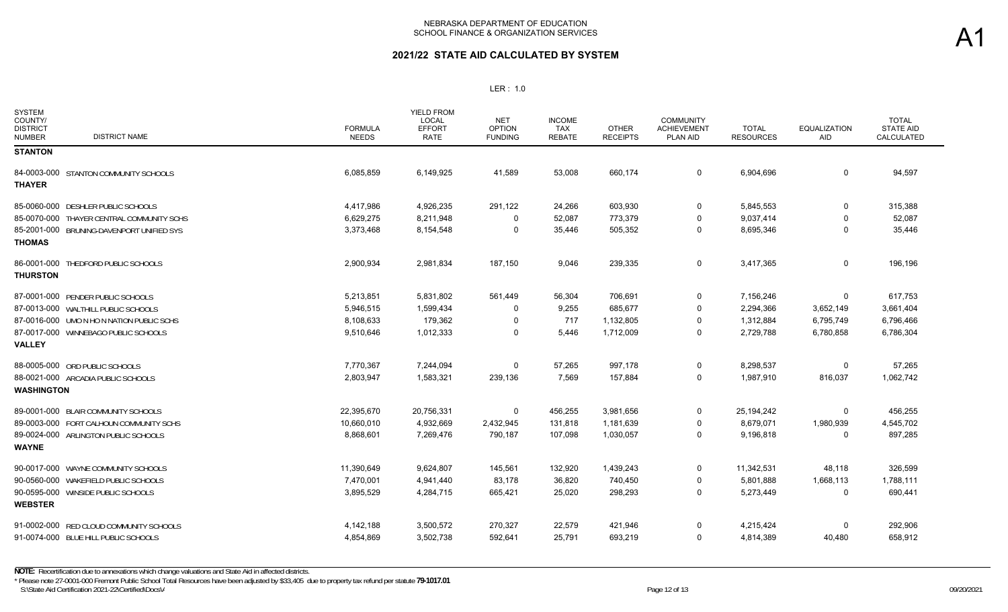| <b>SYSTEM</b><br>COUNTY/<br><b>DISTRICT</b><br><b>DISTRICT NAME</b><br><b>NUMBER</b> | <b>FORMULA</b><br><b>NEEDS</b> | YIELD FROM<br><b>LOCAL</b><br><b>EFFORT</b><br><b>RATE</b> | <b>NET</b><br><b>OPTION</b><br><b>FUNDING</b> | <b>INCOME</b><br><b>TAX</b><br><b>REBATE</b> | <b>OTHER</b><br><b>RECEIPTS</b> | <b>COMMUNITY</b><br><b>ACHIEVEMENT</b><br>PLAN AID | <b>TOTAL</b><br><b>RESOURCES</b> | <b>EQUALIZATION</b><br>AID | <b>TOTAL</b><br><b>STATE AID</b><br>CALCULATED |
|--------------------------------------------------------------------------------------|--------------------------------|------------------------------------------------------------|-----------------------------------------------|----------------------------------------------|---------------------------------|----------------------------------------------------|----------------------------------|----------------------------|------------------------------------------------|
| <b>STANTON</b>                                                                       |                                |                                                            |                                               |                                              |                                 |                                                    |                                  |                            |                                                |
| 84-0003-000 STANTON COMMUNITY SCHOOLS<br><b>THAYER</b>                               | 6,085,859                      | 6,149,925                                                  | 41,589                                        | 53,008                                       | 660,174                         | $\mathbf 0$                                        | 6,904,696                        | 0                          | 94,597                                         |
| 85-0060-000 DESHLER PUBLIC SCHOOLS                                                   | 4,417,986                      | 4,926,235                                                  | 291,122                                       | 24,266                                       | 603,930                         | 0                                                  | 5,845,553                        | $\mathbf 0$                | 315,388                                        |
| 85-0070-000 THAYER CENTRAL COMMUNITY SCHS                                            | 6,629,275                      | 8,211,948                                                  | $\Omega$                                      | 52,087                                       | 773,379                         | $\Omega$                                           | 9,037,414                        | $\Omega$                   | 52,087                                         |
| 85-2001-000 BRUNING-DAVENPORT UNIFIED SYS<br><b>THOMAS</b>                           | 3,373,468                      | 8,154,548                                                  | 0                                             | 35,446                                       | 505,352                         | 0                                                  | 8,695,346                        | 0                          | 35,446                                         |
|                                                                                      |                                |                                                            |                                               |                                              |                                 |                                                    |                                  |                            |                                                |
| 86-0001-000 THEDFORD PUBLIC SCHOOLS<br><b>THURSTON</b>                               | 2,900,934                      | 2,981,834                                                  | 187,150                                       | 9,046                                        | 239,335                         | 0                                                  | 3,417,365                        | 0                          | 196,196                                        |
| 87-0001-000 PENDER PUBLIC SCHOOLS                                                    | 5,213,851                      | 5,831,802                                                  | 561,449                                       | 56,304                                       | 706,691                         | 0                                                  | 7,156,246                        | $\Omega$                   | 617,753                                        |
| 87-0013-000 WALTHILL PUBLIC SCHOOLS                                                  | 5,946,515                      | 1,599,434                                                  | 0                                             | 9,255                                        | 685,677                         | 0                                                  | 2,294,366                        | 3,652,149                  | 3,661,404                                      |
| 87-0016-000 UMO N HO N NATION PUBLIC SCHS                                            | 8,108,633                      | 179,362                                                    | 0                                             | 717                                          | 1,132,805                       | $\Omega$                                           | 1,312,884                        | 6,795,749                  | 6,796,466                                      |
| 87-0017-000 WINNEBAGO PUBLIC SCHOOLS<br><b>VALLEY</b>                                | 9,510,646                      | 1,012,333                                                  | $\Omega$                                      | 5,446                                        | 1,712,009                       | $\Omega$                                           | 2,729,788                        | 6,780,858                  | 6,786,304                                      |
| 88-0005-000 ORD PUBLIC SCHOOLS                                                       | 7,770,367                      | 7,244,094                                                  | 0                                             | 57,265                                       | 997,178                         | 0                                                  | 8,298,537                        | 0                          | 57,265                                         |
| 88-0021-000 ARCADIA PUBLIC SCHOOLS<br><b>WASHINGTON</b>                              | 2,803,947                      | 1,583,321                                                  | 239,136                                       | 7,569                                        | 157,884                         | 0                                                  | 1,987,910                        | 816,037                    | 1,062,742                                      |
| 89-0001-000 BLAIR COMMUNITY SCHOOLS                                                  | 22.395.670                     | 20,756,331                                                 | 0                                             | 456,255                                      | 3,981,656                       | 0                                                  | 25,194,242                       | $\Omega$                   | 456,255                                        |
| 89-0003-000 FORT CALHOUN COMMUNITY SCHS                                              | 10,660,010                     | 4,932,669                                                  | 2,432,945                                     | 131,818                                      | 1,181,639                       | 0                                                  | 8,679,071                        | 1,980,939                  | 4,545,702                                      |
| 89-0024-000 ARLINGTON PUBLIC SCHOOLS                                                 | 8,868,601                      | 7,269,476                                                  | 790,187                                       | 107,098                                      | 1,030,057                       | 0                                                  | 9,196,818                        | 0                          | 897,285                                        |
| <b>WAYNE</b>                                                                         |                                |                                                            |                                               |                                              |                                 |                                                    |                                  |                            |                                                |
| 90-0017-000 WAYNE COMMUNITY SCHOOLS                                                  | 11,390,649                     | 9,624,807                                                  | 145,561                                       | 132,920                                      | 1,439,243                       | 0                                                  | 11,342,531                       | 48,118                     | 326,599                                        |
| 90-0560-000 WAKEFIELD PUBLIC SCHOOLS                                                 | 7,470,001                      | 4,941,440                                                  | 83,178                                        | 36,820                                       | 740,450                         | 0                                                  | 5,801,888                        | 1,668,113                  | 1,788,111                                      |
| 90-0595-000 WINSIDE PUBLIC SCHOOLS                                                   | 3,895,529                      | 4,284,715                                                  | 665,421                                       | 25,020                                       | 298,293                         | 0                                                  | 5,273,449                        | 0                          | 690,441                                        |
| <b>WEBSTER</b>                                                                       |                                |                                                            |                                               |                                              |                                 |                                                    |                                  |                            |                                                |
| 91-0002-000 RED CLOUD COMMUNITY SCHOOLS                                              | 4,142,188                      | 3,500,572                                                  | 270,327                                       | 22,579                                       | 421,946                         | 0                                                  | 4,215,424                        | $\Omega$                   | 292,906                                        |
| 91-0074-000 BLUE HILL PUBLIC SCHOOLS                                                 | 4,854,869                      | 3,502,738                                                  | 592,641                                       | 25,791                                       | 693,219                         | $\Omega$                                           | 4,814,389                        | 40,480                     | 658,912                                        |